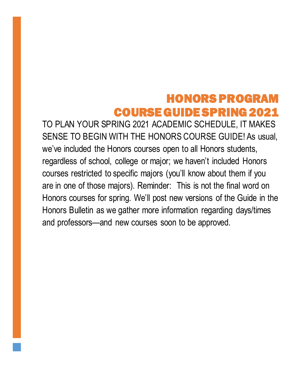## HONORS PROGRAM COURSE GUIDE SPRING 2021

TO PLAN YOUR SPRING 2021 ACADEMIC SCHEDULE, IT MAKES SENSE TO BEGIN WITH THE HONORS COURSE GUIDE! As usual, we've included the Honors courses open to all Honors students, regardless of school, college or major; we haven't included Honors courses restricted to specific majors (you'll know about them if you are in one of those majors). Reminder: This is not the final word on Honors courses for spring. We'll post new versions of the Guide in the Honors Bulletin as we gather more information regarding days/times and professors—and new courses soon to be approved.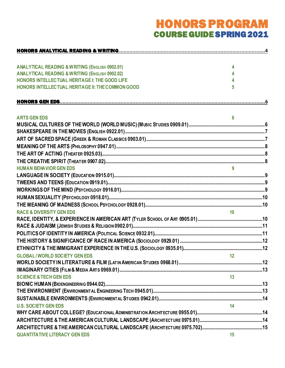# HONORS PROGRAM COURSE GUIDE SPRING 2021

| <b>ANALYTICAL READING &amp; WRITING (ENGLISH 0902.01)</b> | 4               |  |
|-----------------------------------------------------------|-----------------|--|
| <b>ANALYTICAL READING &amp; WRITING (ENGLISH 0902.02)</b> |                 |  |
| HONORS INTELLECTUAL HERITAGE I: THE GOOD LIFE             |                 |  |
| HONORS INTELLECTUAL HERITAGE II: THE COMMON GOOD          | 5               |  |
|                                                           |                 |  |
|                                                           |                 |  |
| <b>ARTS GEN EDS</b>                                       | 6               |  |
|                                                           |                 |  |
|                                                           |                 |  |
|                                                           |                 |  |
|                                                           |                 |  |
|                                                           |                 |  |
|                                                           |                 |  |
| <b>HUMAN BEHAVIOR GEN EDS</b>                             |                 |  |
|                                                           |                 |  |
|                                                           |                 |  |
|                                                           |                 |  |
|                                                           |                 |  |
|                                                           |                 |  |
| <b>RACE &amp; DIVERSITY GEN EDS</b>                       | 10 <sup>1</sup> |  |
|                                                           |                 |  |
|                                                           |                 |  |
|                                                           |                 |  |
|                                                           |                 |  |
|                                                           |                 |  |
| <b>GLOBAL/WORLD SOCIETY GEN EDS</b>                       | 12              |  |
|                                                           |                 |  |
|                                                           |                 |  |
| <b>SCIENCE &amp; TECH GEN EDS</b>                         | 13              |  |
|                                                           |                 |  |
|                                                           |                 |  |
|                                                           |                 |  |
| <b>U.S. SOCIETY GEN EDS</b>                               | 14              |  |
|                                                           |                 |  |
|                                                           |                 |  |
|                                                           |                 |  |
| <b>QUANTITATIVE LITERACY GEN EDS</b>                      | 15              |  |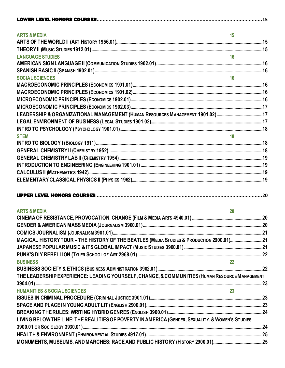| 15 <sub>15</sub><br><b>ARTS &amp; MEDIA</b>                                                      |    |
|--------------------------------------------------------------------------------------------------|----|
|                                                                                                  |    |
|                                                                                                  |    |
| 16<br><b>LANGUAGE STUDIES</b>                                                                    |    |
|                                                                                                  |    |
|                                                                                                  |    |
| <b>SOCIAL SCIENCES</b>                                                                           | 16 |
|                                                                                                  |    |
|                                                                                                  |    |
|                                                                                                  |    |
|                                                                                                  |    |
|                                                                                                  |    |
|                                                                                                  |    |
|                                                                                                  |    |
| <b>STEM</b>                                                                                      |    |
|                                                                                                  |    |
|                                                                                                  |    |
|                                                                                                  |    |
|                                                                                                  |    |
|                                                                                                  |    |
|                                                                                                  |    |
|                                                                                                  |    |
|                                                                                                  |    |
|                                                                                                  |    |
| <b>ARTS &amp; MEDIA</b><br>20 <sub>2</sub>                                                       |    |
|                                                                                                  |    |
|                                                                                                  |    |
|                                                                                                  |    |
| MAGICAL HISTORY TOUR - THE HISTORY OF THE BEATLES (MEDIA STUDIES & PRODUCTION 2900.01)21         |    |
|                                                                                                  |    |
|                                                                                                  |    |
| <b>BUSINESS</b>                                                                                  |    |
|                                                                                                  |    |
| THE LEADERSHIP EXPERIENCE: LEADING YOURSELF, CHANGE, & COMMUNITIES (HUMAN RESOURCE MANAGEMENT    |    |
|                                                                                                  |    |
| <b>HUMANITIES &amp; SOCIAL SCIENCES</b>                                                          |    |
|                                                                                                  |    |
|                                                                                                  |    |
|                                                                                                  |    |
| LIVING BELOW THE LINE: THE REALITIES OF POVERTY IN AMERICA (GENDER, SEXUALITY, & WOMEN'S STUDIES |    |
|                                                                                                  |    |
|                                                                                                  |    |
|                                                                                                  |    |
|                                                                                                  |    |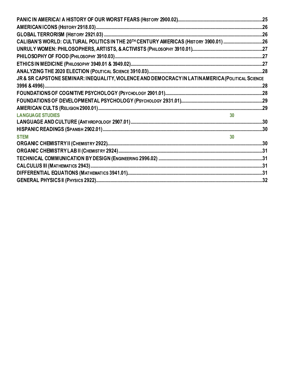| CALIBAN'S WORLD: CULTURAL POLITICS IN THE 20TH CENTURY AMERICAS (HISTORY 3900.01) 26            |                 |
|-------------------------------------------------------------------------------------------------|-----------------|
|                                                                                                 |                 |
|                                                                                                 |                 |
|                                                                                                 |                 |
|                                                                                                 |                 |
| JR & SR CAPSTONE SEMINAR: INEQUALITY, VIOLENCE AND DEMOCRACY IN LATINAMERICA (POLITICAL SCIENCE |                 |
|                                                                                                 |                 |
|                                                                                                 |                 |
|                                                                                                 |                 |
|                                                                                                 |                 |
| <b>LANGUAGE STUDIES</b>                                                                         |                 |
|                                                                                                 |                 |
|                                                                                                 |                 |
| <b>STEM</b>                                                                                     | 30 <sup>°</sup> |
|                                                                                                 |                 |
|                                                                                                 |                 |
|                                                                                                 |                 |
|                                                                                                 |                 |
|                                                                                                 |                 |
|                                                                                                 |                 |
|                                                                                                 |                 |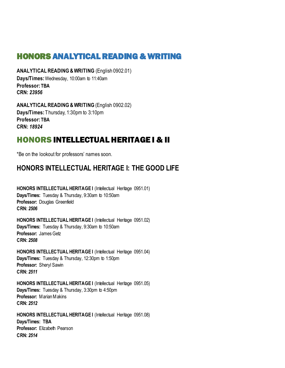## <span id="page-4-0"></span>HONORS ANALYTICAL READING & WRITING

<span id="page-4-1"></span>**ANALYTICAL READING & WRITING** (English 0902.01) **Days/Times:** Wednesday, 10:00am to 11:40am **Professor: TBA CRN:** *23956*

<span id="page-4-2"></span>**ANALYTICAL READING &WRITING** (English 0902.02) **Days/Times:** Thursday, 1:30pm to 3:10pm **Professor: TBA CRN:** *18924*

## HONORS INTELLECTUAL HERITAGE I & II

\*Be on the lookout for professors' names soon.

## <span id="page-4-3"></span>**HONORS INTELLECTUAL HERITAGE I: THE GOOD LIFE**

**HONORS INTELLECTUAL HERITAGE I** (Intellectual Heritage 0951.01) **Days/Times:** Tuesday & Thursday, 9:30am to 10:50am **Professor:** Douglas Greenfield **CRN:** *2506*

**HONORS INTELLECTUAL HERITAGE I** (Intellectual Heritage 0951.02) **Days/Times:** Tuesday & Thursday, 9:30am to 10:50am **Professor:** James Getz **CRN:** *2508*

**HONORS INTELLECTUAL HERITAGE I** (Intellectual Heritage 0951.04) **Days/Times:** Tuesday & Thursday, 12:30pm to 1:50pm **Professor:** Sheryl Sawin **CRN:** *2511*

**HONORS INTELLECTUAL HERITAGE I** (Intellectual Heritage 0951.05) **Days/Times:** Tuesday & Thursday, 3:30pm to 4:50pm **Professor:** Marian Makins **CRN:** *2512*

**HONORS INTELLECTUAL HERITAGE I** (Intellectual Heritage 0951.08) **Days/Times: TBA Professor:** Elizabeth Pearson **CRN:** *2514*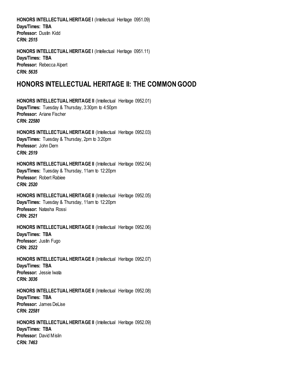**HONORS INTELLECTUAL HERITAGE I** (Intellectual Heritage 0951.09) **Days/Times: TBA** Professor: Dustin Kidd **CRN:** *2515*

**HONORS INTELLECTUAL HERITAGE I (Intellectual Heritage 0951.11) Days/Times: TBA Professor:** Rebecca Alpert **CRN:** *5635*

## <span id="page-5-0"></span>**HONORS INTELLECTUAL HERITAGE II: THE COMMON GOOD**

**HONORS INTELLECTUAL HERITAGE II** (Intellectual Heritage 0952.01) **Days/Times:** Tuesday & Thursday, 3:30pm to 4:50pm **Professor:** Ariane Fischer **CRN:** *22580*

**HONORS INTELLECTUAL HERITAGE II** (Intellectual Heritage 0952.03) **Days/Times:** Tuesday & Thursday, 2pm to 3:20pm **Professor:** John Dern **CRN:** *2519*

**HONORS INTELLECTUAL HERITAGE II** (Intellectual Heritage 0952.04) **Days/Times:** Tuesday & Thursday, 11am to 12:20pm **Professor:** Robert Rabiee **CRN:** *2520*

**HONORS INTELLECTUAL HERITAGE II** (Intellectual Heritage 0952.05) **Days/Times:** Tuesday & Thursday, 11am to 12:20pm **Professor:** Natasha Rossi **CRN:** *2521*

**HONORS INTELLECTUAL HERITAGE II** (Intellectual Heritage 0952.06) **Days/Times: TBA** Professor: Justin Fugo **CRN:** *2522*

HONORS INTELLECTUAL HERITAGE II (Intellectual Heritage 0952.07) **Days/Times: TBA Professor:** Jessie Iwata **CRN:** *3036*

**HONORS INTELLECTUAL HERITAGE II** (Intellectual Heritage 0952.08) **Days/Times: TBA Professor:** James DeLise **CRN:** *22581*

**HONORS INTELLECTUAL HERITAGE II** (Intellectual Heritage 0952.09) **Days/Times: TBA Professor:** David Mislin **CRN:** *7463*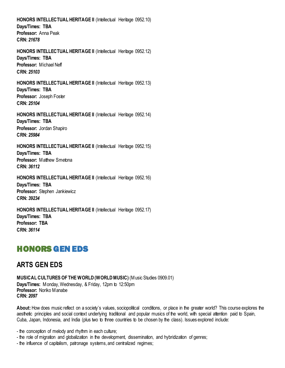**HONORS INTELLECTUAL HERITAGE II** (Intellectual Heritage 0952.10) **Days/Times: TBA Professor:** Anna Peak **CRN:** *21678*

**HONORS INTELLECTUAL HERITAGE II** (Intellectual Heritage 0952.12) **Days/Times: TBA Professor:** Michael Neff **CRN:** *25103*

**HONORS INTELLECTUAL HERITAGE II** (Intellectual Heritage 0952.13) **Days/Times: TBA Professor:** Joseph Foster **CRN:** *25104*

**HONORS INTELLECTUAL HERITAGE II** (Intellectual Heritage 0952.14) **Days/Times: TBA Professor:** Jordan Shapiro **CRN:** *25984*

**HONORS INTELLECTUAL HERITAGE II** (Intellectual Heritage 0952.15) **Days/Times: TBA Professor:** Matthew Smetona **CRN:** *36112*

**HONORS INTELLECTUAL HERITAGE II** (Intellectual Heritage 0952.16)

**Days/Times: TBA Professor:** Stephen Jankiewicz **CRN:** *39234*

**HONORS INTELLECTUAL HERITAGE II** (Intellectual Heritage 0952.17) **Days/Times: TBA Professor: TBA CRN:** *36114*

## <span id="page-6-0"></span>HONORS GEN EDS

## <span id="page-6-1"></span>**ARTS GEN EDS**

<span id="page-6-2"></span>**MUSICAL CULTURES OF THE WORLD (WORLD MUSIC)** (Music Studies 0909.01) **Days/Times:** Monday, Wednesday, & Friday, 12pm to 12:50pm **Professor:** Noriko Manabe **CRN:** *2097*

**About:** How does music reflect on a society's values, sociopolitical conditions, or place in the greater world? This course explores the aesthetic principles and social context underlying traditional and popular musics of the world, with special attention paid to Spain, Cuba, Japan, Indonesia, and India (plus two to three countries to be chosen by the class). Issues explored include:

- the conception of melody and rhythm in each culture;

- the role of migration and globalization in the development, dissemination, and hybridization of genres;
- the influence of capitalism, patronage systems, and centralized regimes;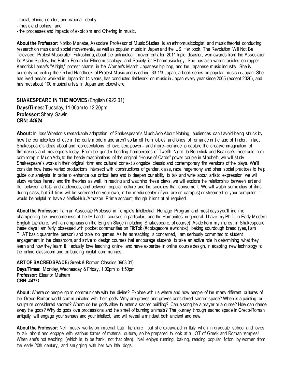- racial, ethnic, gender, and national identity;
- music and politics; and
- the processes and impacts of exoticism and Othering in music.

**About the Professor:** Noriko Manabe, Associate Professor of Music Studies, is an ethnomusicologist and music theorist conducting research on music and social movements, as well as popular music in Japan and the US. Her book, The Revolution Will Not Be Televised: Protest Music after Fukushima, about the antinuclear movement after 2011 triple disaster, won awards from the Association for Asian Studies, the British Forum for Ethnomusicology, and Society for Ethnomusicology. She has also written articles on rapper Kendrick Lamar's "Alright," protest chants in the Women's March, Japanese hip hop, and the Japanese music industry. She is currently co-editing the Oxford Handbook of Protest Music and is editing 33-1/3 Japan, a book series on popular music in Japan. She has lived and/or worked in Japan for 14 years, has conducted fieldwork on music in Japan every year since 2005 (except 2020), and has met about 100 musical artists in Japan and elsewhere.

#### <span id="page-7-0"></span>**SHAKESPEARE IN THE MOVIES** (English 0922.01)

**Days/Times:** Tuesday, 11:00am to 12:20pm **Professor:**Sheryl Sawin **CRN:** *44624*

**About:** In Joss Whedon's remarkable adaptation of Shakespeare's Much Ado About Nothing, audiences can't avoid being struck by how the complexities of love in the early modern age aren't so far off from foibles and follies of romance in the age of Tinder. In fact, Shakespeare's ideas about and representations of love, sex, power-- and more--continue to capture the creative imagination of filmmakers and moviegoers today. From the gender bending homoerotics of Twelfth Night, to Benedick and Beatrice's meet-cute romcom romp in Much Ado, to the heady machinations of the original "House of Cards" power couple in Macbeth, we will study Shakespeare's works in their original form and cultural context alongside classic and contemporary film versions of the plays. We'll consider how these varied productions intersect with constructions of gender, class, race, hegemony and other social practices to help guide our analysis. In order to enhance our critical lens and to deepen our ability to talk and write about artistic expression, we will study various literary and film theories as well. In reading and watching these plays, we will explore the relationship between art and life, between artists and audiences, and between popular culture and the societies that consume it. We will watch some clips of films during class, but full films will be screened on your own, in the media center (if you are on campus) or streamed to your computer. It would be helpful to have a Netflix/Hulu/Amazon Prime account, though it isn't at all required.

**About the Professor:** I am an Associate Professor in Temple's Intellectual Heritage Program and most days you'll find me championing the awesomeness of the IH I and II courses in particular, and the Humanities in general. I have my Ph.D. in Early Modern English Literature, with an emphasis on the English Stage (including Shakespeare, of course). Aside from my interest in Shakespeare, these days I am fairly obsessed with pocket communities on TikTok (#cottagecore #witchtok), baking sourdough bread (yes, I am THAT basic quarantine person) and table top games. As far as teaching is concerned, I am seriously committed to student engagement in the classroom, and strive to design courses that encourage students to take an active role in determining what they learn and how they learn it. I actually love teaching online, and have expertise in online course design, in adapting new technology to the online classroom and on building digital communities.

<span id="page-7-1"></span>**ART OF SACRED SPACE**(Greek & Roman Classics 0903.01) **Days/Times:** Monday, Wednesday & Friday, 1:00pm to 1:50pm **Professor:** Eleanor Mulhern **CRN:** *44171*

**About:** Where do people go to communicate with the divine? Explore with us where and how people of the many different cultures of the Greco-Roman world communicated with their gods. Why are graves and groves considered sacred space? When is a painting or sculpture considered sacred? Whom do the gods allow to enter a sacred building? Can a song be a prayer or a curse? How can dance sway the gods? Why do gods love processions and the smell of burning animals? The journey through sacred space in Greco-Roman antiquity will engage your senses and your intellect, and will reveal a mindset both ancient and new.

**About the Professor:** Nell mostly works on imperial Latin literature, but she excavated in Italy when in graduate school and loves to talk about and engage with various forms of material culture, so be prepared to look at a LOT of Greek and Roman temples! When she's not teaching (which is, to be frank, not that often), Nell enjoys running, baking, reading popular fiction by women from the early 20th century, and snuggling with her two little dogs.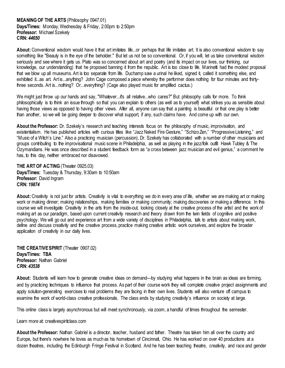#### <span id="page-8-0"></span>**MEANING OF THE ARTS** (Philosophy 0947.01) **Days/Times:** Monday, Wednesday & Friday, 2:00pm to 2:50pm **Professor:** Michael Szekely **CRN:** *44650*

**About:** Conventional wisdom would have it that art imitates life...or perhaps that life imitates art. It is also conventional wisdom to say something like "Beauty is in the eye of the beholder." But let us not be so conventional. Or, if you will, let us take conventional wisdom seriously and see where it gets us. Plato was so concerned about art and poetry (and its impact on our lives, our thinking, our knowledge, our understanding) that he proposed banning it from the republic. Art is too close to life. Marinetti had the modest proposal that we blow up all museums. Art is too separate from life. Duchamp saw a urinal he liked, signed it, called it something else, and exhibited it...as art. Art is...anything? John Cage composed a piece whereby the performer does nothing for four minutes and thirtythree seconds. Art is...nothing? Or...everything? (Cage also played music for amplified cactus.)

We might just throw up our hands and say, "Whatever...it's all relative...who cares?" But philosophy calls for more. To think philosophically is to think an issue through so that you can explain to others (as well as to yourself) what strikes you as sensible about having those views as opposed to having other views. After all, anyone can say that a painting is beautiful or that one play is better than another, so we will be going deeper to discover what support, if any, such claims have. And come up with our own.

**About the Professor:** Dr. Szekely's research and teaching interests focus on the philosophy of music, improvisation, and existentialism. He has published articles with curious titles like "Jazz Naked Fire Gesture," "Schizo Zen," "Progressive Listening," and "Music of a Witch's Line." Also a practicing musician (percussion), Dr. Szekely has collaborated with a number of other musicians and groups contributing to the improvisational music scene in Philadelphia, as well as playing in the jazz/folk outfit Hawk Tubley & The Ozymandians. He was once described in a student feedback form as "a cross between jazz musician and evil genius," a comment he has, to this day, neither embraced nor disavowed.

<span id="page-8-1"></span>**THE ART OF ACTING** (Theater 0925.03) **Days/Times:** Tuesday & Thursday, 9:30am to 10:50am **Professor:** David Ingram **CRN:** *19874*

About: Creativity is not just for artists. Creativity is vital to everything we do in every area of life, whether we are making art or making work or making dinner; making relationships, making families or making community; making discoveries or making a difference. In this course we will investigate Creativity in the arts from the inside-out, looking closely at the creative process of the artist and the work of making art as our paradigm, based upon current creativity research and theory drawn from the twin fields of cognitive and positive psychology. We will go out and experience art from a wide variety of disciplines in Philadelphia, talk to artists about making work, define and discuss creativity and the creative process, practice making creative artistic work ourselves, and explore the broader application of creativity in our daily lives.

<span id="page-8-2"></span>**THE CREATIVE SPIRIT** (Theater 0907.02) **Days/Times: TBA Professor: Nathan Gabriel CRN:** *43538*

**About:** Students will learn how to generate creative ideas on demand—by studying what happens in the brain as ideas are forming, and by practicing techniques to influence that process. As part of their course work they will complete creative project assignments and apply solution-generating exercises to real problems they are facing in their own lives. Students will also venture off campus to examine the work of world-class creative professionals. The class ends by studying creativity's influence on society at large.

This online class is largely asynchronous but will meet synchronously, via zoom, a handful of times throughout the semester.

Learn more at: creativespiritclass.com

**About the Professor:** Nathan Gabriel is a director, teacher, husband and father. Theatre has taken him all over the country and Europe, but there's nowhere he loves as much as his hometown of Cincinnati, Ohio. He has worked on over 40 productions at a dozen theatres, including the Edinburgh Fringe Festival in Scotland. And he has been teaching theatre, creativity, and race and gender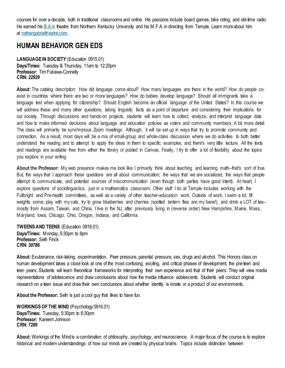courses for over a decade, both in traditional classrooms and online. His passions include board games, bike riding, and old-time radio. He earned his [B.A.in](http://b.a.in/) theatre from Northern Kentucky University and his M.F.A. in directing from Temple. Learn more about him at [nathangabrieltheatre.com.](http://nathangabrieltheatre.com/)

#### <span id="page-9-0"></span>**HUMAN BEHAVIOR GEN EDS**

<span id="page-9-1"></span>LANGUAGE IN SOCIETY (Education 0915.01) **Days/Times:** Tuesday & Thursday, 11am to 12:20pm **Professor:** Tim Fukawa-Connelly **CRN:** *22929*

**About:** The catalog description: How did language come about? How many languages are there in the world? How do people coexist in countries where there are two or more languages? How do babies develop language? Should all immigrants take a language test when applying for citizenship? Should English become an official language of the United States? In this course we will address these and many other questions, taking linguistic facts as a point of departure and considering their implications for our society. Through discussions and hands-on projects, students will learn how to collect, analyze, and interpret language data and how to make informed decisions about language and education policies as voters and community members. A bit more detail: The class will primarily be synchronous Zoom meetings. Although, it will be set up in ways that try to promote community and connection. As a result, most days will be a mix of small-group and whole-class discussion where we do activities to both better understand the reading and to attempt to apply the ideas in them to specific examples, and there's very little lecture. All the texts and readings are available free from either the library or posted in Canvas. Finally, I try to offer a lot of flexibility about the topics you explore in your writing.

**About the Professor:** My web presence makes me look like I primarily think about teaching and learning math--that's sort of true. But, the ways that I approach these questions are all about communication; the ways that we are socialized, the ways that people attempt to communicate, and potential sources of miscommunication (even though both parties have good intent). At heart, I explore questions of sociolinguistics, just in a mathematics classroom. Other stuff I do at Temple includes working with the Fullbright and Pre-health committees, as well as a variety of other teacher-education work. Outside of work, I swim a lot, lift weights some, play with my cats, try to grow blueberries and cherries (spotted lantern flies are my bane!), and drink a LOT of tea-mostly from Assam, Taiwan, and China. I live in the NJ, after previously living in (reverse order) New Hampshire, Maine, Mass, Maryland, Iowa, Chicago, Ohio, Oregon, Indiana, and California.

<span id="page-9-2"></span>**TWEENS AND TEENS** (Education 0919.01) **Days/Times:** Monday, 5:30pm to 8pm **Professor:** Seth Finck **CRN:** *30786*

**About:** Exuberance, risk-taking, experimentation. Peer pressure, parental pressure, sex, drugs and alcohol. This Honors class on human development takes a close look at one of the most confusing, exciting, and critical phases of development, the pre-teen and teen years. Students will learn theoretical frameworks for interpreting their own experience and that of their peers. They will view media representations of adolescence and draw conclusions about how the media influence adolescents. Students will conduct original research on a teen issue and draw their own conclusions about whether identity is innate or a product of our environments.

**About the Professor:** Seth is just a cool guy that likes to have fun.

<span id="page-9-3"></span>**WORKINGS OF THE MIND** (Psychology 0916.01) **Days/Times:** Tuesday, 5:30pm to 6:30pm **Professor:** Kareem Johnson **CRN:** *7289*

**About:** Workings of the Mind is a combination of philosophy, psychology, and neuroscience. A major focus of the course is to explore historical and modern understandings of how our minds are created by physical brains. Topics include distinction between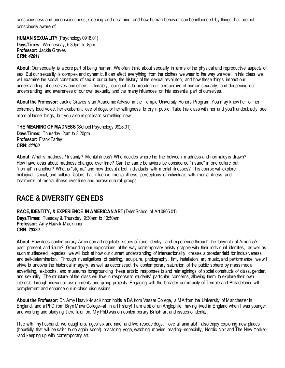consciousness and unconsciousness, sleeping and dreaming, and how human behavior can be influenced by things that are not consciously aware of.

<span id="page-10-0"></span>**HUMAN SEXUALITY** (Psychology 0918.01) **Days/Times:** Wednesday, 5:30pm to 8pm **Professor:** Jackie Graves **CRN:** *42011*

**About:** Our sexuality is a core part of being human. We often think about sexuality in terms of the physical and reproductive aspects of sex. But our sexuality is complex and dynamic. It can affect everything from the clothes we wear to the way we vote. In this class, we will examine the social constructs of sex in our culture, the history of the sexual revolution, and how these things impact our understanding of ourselves and others. Ultimately, our goal is to broaden our perspective of human sexuality, and deepening our understanding and awareness of our own sexuality and the many influences on this essential part of ourselves.

**About the Professor:** Jackie Graves is an Academic Advisor in the Temple University Honors Program. You may know her for her extremely loud voice, her exuberant love of dogs, or her willingness to cry in public. Take this class with her and you'll undoubtedly see more of those things, but you also might learn something new.

<span id="page-10-1"></span>**THE MEANING OF MADNESS** (School Psychology 0928.01) **Days/Times:** Thursday, 2pm to 3:20pm **Professor:** Frank Farley **CRN:** *41100*

**About:** What is madness? Insanity? Mental illness? Who decides where the line between madness and normalcy is drawn? How have ideas about madness changed over time? Can the same behaviors be considered "insane" in one culture but "normal" in another? What is "stigma" and how does it affect individuals with mental illnesses? This course will explore biological, social, and cultural factors that influence mental illness, perceptions of individuals with mental illness, and treatments of mental illness over time and across cultural groups.

## <span id="page-10-2"></span>**RACE & DIVERSITY GEN EDS**

<span id="page-10-3"></span>**RACE, IDENTITY, & EXPERIENCE IN AMERICAN ART** (Tyler School of Art 0905.01)

**Days/Times:** Tuesday & Thursday, 9:30am to 10:50am **Professor:** Amy Haavik-Mackinnon **CRN:** *20329*

**About:** How does contemporary American art negotiate issues of race, identity, and experience through the labyrinth of America's past, present, and future? Grounding our explorations of the way contemporary artists grapple with their individual identities, as well as such multifaceted legacies, we will look at how our current understanding of intersectionality creates a broader field for inclusiveness and self-determination. Through investigations of painting, sculpture, photography, film, installation art, music, and performance, we will strive to uncover the historical imagery, as well as deconstruct the contemporary saturation of the public sphere by mass media, advertising, textbooks, and museums, foregrounding these artistic responses to and reimaginings of social constructs of class, gender, and sexuality. The structure of the class will flow in response to students' particular concerns, allowing them to explore their own interests through individual assignments and group projects. Engaging with the broader community of Temple and Philadelphia will complement and enhance our in-class discussions.

**About the Professor:** Dr. Amy Haavik-MacKinnon holds a BA from Vassar College, a MA from the University of Manchester in England, and a PhD from Bryn Mawr College--all in art history! I am a bit of an Anglophile, having lived in England when I was younger, and working and studying there later on. My PhD was on contemporary British art and issues of identity.

I live with my husband, two daughters, ages six and nine, and two rescue dogs. I love all animals! I also enjoy exploring new places (hopefully that will be safer to do again soon!), practicing yoga, watching movies, reading--especially, Nordic Noir and The New Yorker- -and keeping up with contemporary art.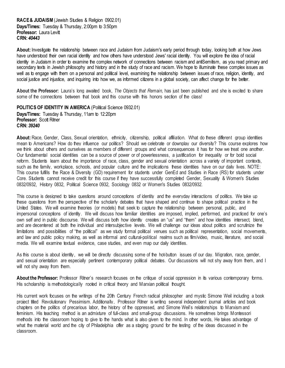<span id="page-11-0"></span>**RACE & JUDAISM** (Jewish Studies & Religion 0902.01) **Days/Times:** Tuesday & Thursday, 2:00pm to 3:50pm **Professor: Laura Levitt CRN:** *40443*

**About:** Investigate the relationship between race and Judaism from Judaism's early period through today, looking both at how Jews have understood their own racial identity and how others have understood Jews' racial identity. You will explore the idea of racial identity in Judaism in order to examine the complex network of connections between racism and antiSemitism, as you read primary and secondary texts in Jewish philosophy and history and in the study of race and racism. We hope to illuminate these complex issues as well as to engage with them on a personal and political level, examining the relationship between issues of race, religion, identity, and social justice and injustice, and inquiring into how we, as informed citizens in a global society, can affect change for the better.

**About the Professor:** Laura's long awaited book, *The Objects that Remain,* has just been published and she is excited to share some of the connections between that book and this course with this honors section of the class!

<span id="page-11-1"></span>POLITICS OF IDENTITY IN AMERICA (Political Science 0932.01) **Days/Times:** Tuesday & Thursday, 11am to 12:20pm **Professor: Scott Ritner CRN:** *39240*

**About:** Race, Gender, Class, Sexual orientation, ethnicity, citizenship, political affiliation. What do these different group identities mean to Americans? How do they influence our politics? Should we celebrate or downplay our diversity? This course explores how we think about others and ourselves as members of different groups and what consequences it has for how we treat one another. Our fundamental social identities can be a source of power or of powerlessness, a justification for inequality or for bold social reform. Students learn about the importance of race, class, gender and sexual orientation across a variety of important contexts, such as the family, workplace, schools, and popular culture and the implications, these identities, have on our daily lives. NOTE: This course fulfills the Race & Diversity (GD) requirement for students under GenEd and Studies in Race (RS) for students under Core. Students cannot receive credit for this course if they have successfully completed Gender, Sexuality & Women's Studies 0832/0932, History 0832, Political Science 0932, Sociology 0832 or Women's Studies 0832/0932.

This course is designed to take questions around conceptions of identity and the everyday interactions of politics. We take up these questions from the perspective of the scholarly debates that have shaped and continue to shape political practice in the United States. We will examine theories (or models) that seek to capture the relationship between personal, public, and impersonal conceptions of identity. We will discuss how familiar identities are imposed, implied, performed, and practiced for one's own self and in public discourse. We will discuss both how identity creates an "us" and "them" and how identities intersect, blend, and are decentered at both the individual and intersubjective levels. We will challenge our ideas about politics and scrutinize the limitations and possibilities of "the political" as we study formal political venues such as political representation, social movements, and law and public policy making, as well as informal and cultural-political realms such as film/video, music, literature, and social media. We will examine textual evidence, case studies, and even map our daily identities.

As this course is about identity, we will be directly discussing some of the hot-button issues of our day. Migration, race, gender, and sexual orientation are especially pertinent contemporary political debates. Our discussions will not shy away from them, and I will not shy away from them.

**About the Professor:** Professor Ritner's research focuses on the critique of social oppression in its various contemporary forms. His scholarship is methodologically rooted in critical theory and Marxian political thought.

His current work focuses on the writings of the 20th Century French radical philosopher and mystic Simone Weil including a book project titled Revolutionary Pessimism. Additionally, Professor Ritner is writing several independent journal articles and book chapters on the politics of precarious labor, the history of the oppressed, and Simone Weil's relationships to Marxism and feminism. His teaching method is an admixture of full-class and small-group discussions. He sometimes brings Montessori methods into the classroom hoping to give to the hands what is also given to the mind. In other words, He takes advantage of what the material world and the city of Philadelphia offer as a staging ground for the testing of the ideas discussed in the classroom.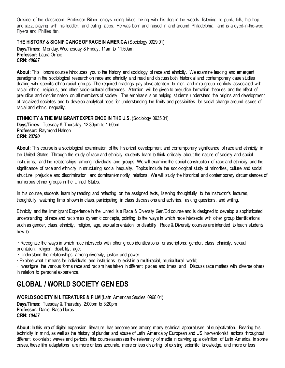Outside of the classroom, Professor Ritner enjoys riding bikes, hiking with his dog in the woods, listening to punk, folk, hip hop, and jazz, playing with his toddler, and eating tacos. He was born and raised in and around Philadelphia, and is a dyed-in-the-wool Flyers and Phillies fan.

#### <span id="page-12-0"></span>**THE HISTORY & SIGNIFICANCE OF RACE IN AMERICA** (Sociology 0929.01)

**Days/Times:** Monday, Wednesday & Friday, 11am to 11:50am **Professor:** Laura Orrico **CRN:** *40687*

**About:** This Honors course introduces you to the history and sociology of race and ethnicity. We examine leading and emergent paradigms in the sociological research on race and ethnicity and read and discuss both historical and contemporary case studies dealing with specific ethno-racial groups. The required readings pay close attention to inter- and intra-group conflicts associated with racial, ethnic, religious, and other socio-cultural differences. Attention will be given to prejudice formation theories and the effect of prejudice and discrimination on all members of society. The emphasis is on helping students understand the origins and development of racialized societies and to develop analytical tools for understanding the limits and possibilities for social change around issues of racial and ethnic inequality.

#### <span id="page-12-1"></span>**ETHNICITY & THE IMMIGRANT EXPERIENCE IN THE U.S. (Sociology 0935.01) Days/Times:** Tuesday & Thursday, 12:30pm to 1:50pm **Professor:** Raymond Halnon **CRN:** *23790*

**About:** This course is a sociological examination of the historical development and contemporary significance of race and ethnicity in the United States. Through the study of race and ethnicity students learn to think critically about the nature of society and social institutions, and the relationships among individuals and groups. We will examine the social construction of race and ethnicity and the significance of race and ethnicity in structuring social inequality. Topics include the sociological study of minorities, culture and social structure, prejudice and discrimination, and dominant-minority relations. We will study the historical and contemporary circumstances of numerous ethnic groups in the United States.

In this course, students learn by reading and reflecting on the assigned texts, listening thoughtfully to the instructor's lectures, thoughtfully watching films shown in class, participating in class discussions and activities, asking questions, and writing.

Ethnicity and the Immigrant Experience in the United is a Race & Diversity Gen/Ed course and is designed to develop a sophisticated understanding of race and racism as dynamic concepts, pointing to the ways in which race intersects with other group identifications such as gender, class, ethnicity, religion, age, sexual orientation or disability. Race & Diversity courses are intended to teach students how to:

· Recognize the ways in which race intersects with other group identifications or ascriptions: gender, class, ethnicity, sexual orientation, religion, disability, age;

· Understand the relationships among diversity, justice and power;

· Explore what it means for individuals and institutions to exist in a multi-racial, multicultural world;

· Investigate the various forms race and racism has taken in different places and times; and · Discuss race matters with diverse others in relation to personal experience.

## <span id="page-12-2"></span>**GLOBAL / WORLD SOCIETY GEN EDS**

<span id="page-12-3"></span>**WORLD SOCIETY IN LITERATURE & FILM (Latin American Studies 0968.01) Days/Times:** Tuesday & Thursday, 2:00pm to 3:20pm **Professor:** Daniel Raso Llaras **CRN:** *10457*

**About:** In this era of digital expansion, literature has become one among many technical apparatuses of subjectivation. Bearing this technicity in mind, as well as the history of plunder and abuse of Latin America by European and US interventionist actions throughout different colonialist waves and periods, this course assesses the relevancy of media in carving up a definition of Latin America. In some cases, these film adaptations are more or less accurate, more or less distorting of existing scientific knowledge, and more or less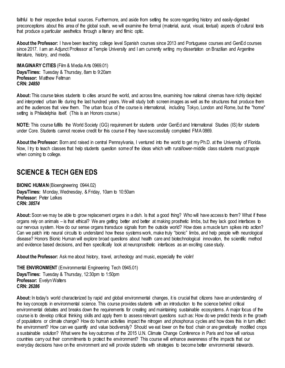faithful to their respective textual sources. Furthermore, and aside from setting the score regarding history and easily-digested preconceptions about this area of the global south, we will examine the formal (material, aural, visual, textual) aspects of cultural texts that produce a particular aesthetics through a literary and filmic optic.

**About the Professor:** I have been teaching college level Spanish courses since 2013 and Portuguese courses and GenEd courses since 2017. I am an Adiunct Professor at Temple University and I am currently writing my dissertation on Brazilian and Argentine literature, history, and media.

<span id="page-13-0"></span>**IMAGINARY CITIES** (Film & Media Arts 0969.01) **Days/Times:** Tuesday & Thursday, 8am to 9:20am **Professor:** Matthew Feltman **CRN:** *24850*

**About:** This course takes students to cities around the world, and across time, examining how national cinemas have richly depicted and interpreted urban life during the last hundred years. We will study both screen images as well as the structures that produce them and the audiences that view them. The urban focus of the course is international, including Tokyo, London and Rome, but the "home" setting is Philadelphia itself. (This is an Honors course.)

**NOTE:** This course fulfills the World Society (GG) requirement for students under GenEd and International Studies (IS) for students under Core. Students cannot receive credit for this course if they have successfully completed FMA 0869.

**About the Professor:** Born and raised in central Pennsylvania, I ventured into the world to get my Ph.D. at the University of Florida. Now, I try to teach classes that help students question some of the ideas which with rural/lower-middle class students must grapple when coming to college.

## <span id="page-13-1"></span>**SCIENCE & TECH GEN EDS**

<span id="page-13-2"></span>**BIONIC HUMAN**(Bioengineering 0944.02) **Days/Times:** Monday, Wednesday, & Friday, 10am to 10:50am **Professor:** Peter Lelkes **CRN:** *38574*

**About:** Soon we may be able to grow replacement organs in a dish. Is that a good thing? Who will have access to them? What if these organs rely on animals – is that ethical? We are getting better and better at making prosthetic limbs, but they lack good interfaces to our nervous system. How do our sense organs transduce signals from the outside world? How does a muscle turn spikes into action? Can we patch into neural circuits to understand how these systems work, make truly "bionic" limbs, and help people with neurological disease? Honors Bionic Human will explore broad questions about health care and biotechnological innovation, the scientific method and evidence based decisions, and then specifically look at neuroprosthetic interfaces as an exciting case study.

**About the Professor:** Ask me about history, travel, archeology and music, especially the violin!

<span id="page-13-3"></span>**THE ENVIRONMENT** (Environmental Engineering Tech 0945.01) **Days/Times:** Tuesday & Thursday, 12:30pm to 1:50pm **Professor: Evelyn Walters CRN:** *26286*

**About:** In today's world characterized by rapid and global environmental changes, it is crucial that citizens have an understanding of the key concepts in environmental science. This course provides students with an introduction to the science behind critical environmental debates and breaks down the requirements for creating and maintaining sustainable ecosystems. A major focus of the course is to develop critical thinking skills and apply them to assess relevant questions such as: How do we predict trends in the growth of populations or climate change? How do human activities impact the nitrogen and phosphorus cycles and how does this in turn affect the environment? How can we quantify and value biodiversity? Should we eat lower on the food chain or are genetically modified crops a sustainable solution? What were the key outcomes of the 2015 U.N. Climate Change Conference in Paris and how will various countries carry out their commitments to protect the environment? This course will enhance awareness of the impacts that our everyday decisions have on the environment and will provide students with strategies to become better environmental stewards.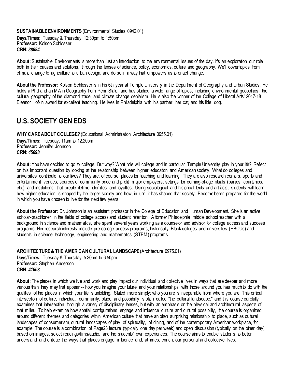#### <span id="page-14-0"></span>**SUSTAINABLE ENVIRONMENTS** (Environmental Studies 0942.01) **Days/Times:** Tuesday & Thursday, 12:30pm to 1:50pm **Professor:** Kolson Schlosser

**About:** Sustainable Environments is more than just an introduction to the environmental issues of the day. It's an exploration our role both in their causes and solutions, through the lenses of science, policy, economics, culture and geography. We'll cover topics from climate change to agriculture to urban design, and do so in a way that empowers us to enact change.

**About the Professor:** Kolson Schlosser is in his 6th year at Temple University in the Department of Geography and Urban Studies. He holds a Phd and an MA in Geography from Penn State, and has studied a wide range of topics, including environmental geopolitics, the cultural geography of the diamond trade, and climate change denialism. He is also the winner of the College of Liberal Arts' 2017-18 Eleanor Hofkin award for excellent teaching. He lives in Philadelphia with his partner, her cat, and his little dog.

## <span id="page-14-1"></span>**U.S. SOCIETY GEN EDS**

**CRN:** *38884*

<span id="page-14-2"></span>WHY CARE ABOUT COLLEGE? (Educational Administration Architecture 0955.01)

**Days/Times:** Tuesday, 11am to 12:20pm **Professor:** Jennifer Johnson **CRN:** *45098*

**About:** You have decided to go to college. But why? What role will college and in particular Temple University play in your life? Reflect on this important question by looking at the relationship between higher education and American society. What do colleges and universities contribute to our lives? They are, of course, places for teaching and learning. They are also research centers, sports and entertainment venues, sources of community pride and profit, major employers, settings for coming-of-age rituals (parties, courtships, etc.), and institutions that create lifetime identities and loyalties. Using sociological and historical texts and artifacts, students will learn how higher education is shaped by the larger society and how, in turn, it has shaped that society. Become better prepared for the world in which you have chosen to live for the next few years.

**About the Professor:** Dr. Johnson is an assistant professor in the College of Education and Human Development. She is an active scholar-practitioner in the fields of college access and student retention. A former Philadelphia middle school teacher with a background in science and mathematics, she spent several years working as a counselor and advisor for college access and success programs. Her research interests include pre-college access programs, historically Black colleges and universities (HBCUs) and students in science, technology, engineering and mathematics (STEM) programs.

<span id="page-14-3"></span>ARCHITECTURE & THE AMERICAN CULTURAL LANDSCAPE (Architecture 0975.01)

**Days/Times:** Tuesday & Thursday, 5:30pm to 6:50pm **Professor:** Stephen Anderson **CRN:** *41668*

About: The places in which we live and work and play impact our individual and collective lives in ways that are deeper and more various than they may first appear -- how you imagine your future and your relationships with those around you has much to do with the qualities of the places in which your life is unfolding. Stated more simply: who you are is inseparable from where you are. This critical intersection of culture, individual, community, place, and possibility is often called "the cultural landscape," and this course carefully examines that intersection through a variety of disciplinary lenses, but with an emphasis on the physical and architectural aspects of that milieu. To help examine how spatial configurations engage and influence culture and cultural possibility, the course is organized around different themes and categories within American culture that have an often surprising relationship to place, such as cultural landscapes of consumerism, cultural landscapes of play, of spirituality, of dining, and of the contemporary American workplace, for example. The course is a combination of Page23 lecture (typically one day per week) and open discussion (typically on the other day) based on images, select readings/films/audio, and the students' own experiences. The course aims to enable students to better understand and critique the ways that places engage, influence and, at times, enrich, our personal and collective lives.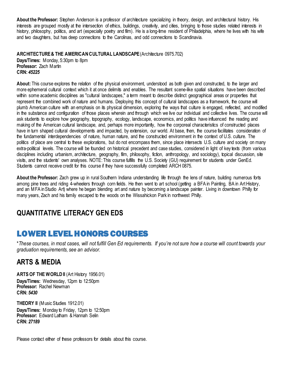**About the Professor:** Stephen Anderson is a professor of architecture specializing in theory, design, and architectural history. His interests are grouped mostly at the intersection of ethics, buildings, creativity, and cities, bringing to those studies related interests in history, philosophy, politics, and art (especially poetry and film). He is a long-time resident of Philadelphia, where he lives with his wife and two daughters, but has deep connections to the Carolinas, and odd connections to Scandinavia.

<span id="page-15-0"></span>ARCHITECTURE & THE AMERICAN CULTURAL LANDSCAPE (Architecture 0975.702) **Days/Times:** Monday, 5:30pm to 8pm **Professor:** Zach Martin **CRN:** *45225*

**About:** This course explores the relation of the physical environment, understood as both given and constructed, to the larger and more ephemeral cultural context which it at once delimits and enables. The resultant scene-like spatial situations have been described within some academic disciplines as "cultural landscapes," a term meant to describe distinct geographical areas or properties that represent the combined work of nature and humans. Deploying this concept of cultural landscapes as a framework, the course will plumb American culture with an emphasis on its physical dimension, exploring the ways that culture is engaged, reflected, and modified in the substance and configuration of those places wherein and through which we live our individual and collective lives. The course will ask students to explore how geography, topography, ecology, landscape, economics, and politics have influenced the reading and making of the American cultural landscape, and, perhaps more importantly, how the corporeal characteristics of constructed places have in turn shaped cultural developments and impacted, by extension, our world. At base, then, the course facilitates consideration of the fundamental interdependencies of nature, human nature, and the constructed environment in the context of U.S. culture. The politics of place are central to these explorations, but do not encompass them, since place intersects U.S. culture and society on many extra-political levels. The course will be founded on historical precedent and case studies, considered in light of key texts (from various disciplines including urbanism, architecture, geography, film, philosophy, fiction, anthropology, and sociology), topical discussion, site visits, and the students' own analyses. NOTE: This course fulfills the U.S. Society (GU) requirement for students under GenEd. Students cannot receive credit for this course if they have successfully completed ARCH 0875.

**About the Professor:** Zach grew up in rural Southern Indiana understanding life through the lens of nature, building numerous forts among pine trees and riding 4-wheelers through corn fields. He then went to art school (getting a BFA in Painting, BA in Art History, and an MFA in Studio Art) where he began blending art and nature by becoming a landscape painter. Living in downtown Philly for many years, Zach and his family escaped to the woods on the Wissahickon Park in northwest Philly.

## <span id="page-15-2"></span><span id="page-15-1"></span>**QUANTITATIVE LITERACY GEN EDS**

## LOWER LEVEL HONORS COURSES

\**These courses, in most cases, will not fulfill Gen Ed requirements. If you're not sure how a course will count towards your graduation requirements, see an advisor.*

## <span id="page-15-3"></span>**ARTS & MEDIA**

<span id="page-15-4"></span>**ARTS OF THE WORLD II** (Art History 1956.01) **Days/Times:** Wednesday, 12pm to 12:50pm **Professor:** Rachel Newman **CRN:** *5430*

<span id="page-15-5"></span>**THEORY II** (Music Studies 1912.01) **Days/Times:** Monday to Friday, 12pm to 12:50pm **Professor:** Edward Latham & Hannah Selin **CRN:** *27189*

Please contact either of these professors for details about this course.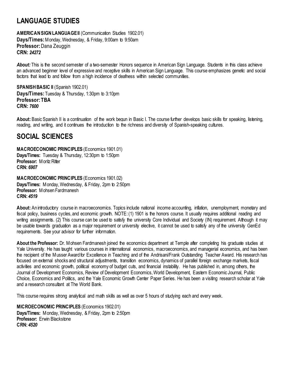## <span id="page-16-0"></span>**LANGUAGE STUDIES**

<span id="page-16-1"></span>**AMERICAN SIGN LANGUAGEII** (Communication Studies 1902.01) **Days/Times:** Monday, Wednesday, & Friday, 9:00am to 9:50am **Professor:** Dana Zeuggin **CRN:** *24272*

*About:* This is the second semester of a two-semester Honors sequence in American Sign Language. Students in this class achieve an advanced beginner level of expressive and receptive skills in American Sign Language. This course emphasizes genetic and social factors that lead to and follow from a high incidence of deafness within selected communities.

<span id="page-16-2"></span>**SPANISH BASIC II** (Spanish 1902.01) **Days/Times:** Tuesday & Thursday, 1:30pm to 3:10pm **Professor: TBA CRN:** *7600*

**About:** Basic Spanish II is a continuation of the work begun in Basic I. The course further develops basic skills for speaking, listening, reading, and writing, and it continues the introduction to the richness and diversity of Spanish-speaking cultures.

## <span id="page-16-3"></span>**SOCIAL SCIENCES**

<span id="page-16-4"></span>**MACROECONOMIC PRINCIPLES** (Economics 1901.01) **Days/Times:** Tuesday & Thursday, 12:30pm to 1:50pm **Professor: Moritz Ritter CRN:** *6907*

<span id="page-16-5"></span>**MACROECONOMIC PRINCIPLES** (Economics 1901.02) **Days/Times:** Monday, Wednesday, & Friday, 2pm to 2:50pm **Professor:** Mohsen Fardmanesh **CRN:** *4519*

**About:** An introductory course in macroeconomics. Topics include national income accounting, inflation, unemployment, monetary and fiscal policy, business cycles, and economic growth. NOTE: (1) 1901 is the honors course. It usually requires additional reading and writing assignments. (2) This course can be used to satisfy the university Core Individual and Society (IN) requirement. Although it may be usable towards graduation as a major requirement or university elective, it cannot be used to satisfy any of the university GenEd requirements. See your advisor for further information.

**About the Professor:** Dr. Mohsen Fardmanesh joined the economics department at Temple after completing his graduate studies at Yale University. He has taught various courses in international economics, macroeconomics, and managerial economics, and has been the recipient of the Musser Award for Excellence in Teaching and of the Andrisani/Frank Outstanding Teacher Award. His research has focused on external shocks and structural adjustments, transition economics, dynamics of parallel foreign exchange markets, fiscal activities and economic growth, political economy of budget cuts, and financial instability. He has published in, among others, the Journal of Development Economics, Review of Development Economics, World Development, Eastern Economic Journal, Public Choice, Economics and Politics, and the Yale Economic Growth Center Paper Series. He has been a visiting research scholar at Yale and a research consultant at The World Bank.

This course requires strong analytical and math skills as well as over 5 hours of studying each and every week.

<span id="page-16-6"></span>**MICROECONOMIC PRINCIPLES** (Economics 1902.01) **Days/Times:** Monday, Wednesday, & Friday, 2pm to 2:50pm **Professor:** Erwin Blackstone **CRN:** *4520*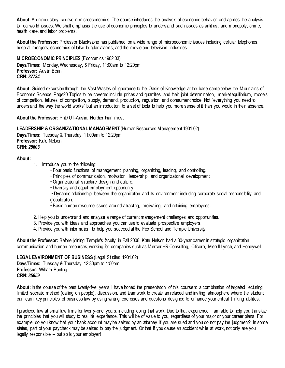**About:** An introductory course in microeconomics. The course introduces the analysis of economic behavior and applies the analysis to real world issues. We shall emphasis the use of economic principles to understand such issues as antitrust and monopoly, crime, health care, and labor problems.

**About the Professor:** Professor Blackstone has published on a wide range of microeconomic issues including cellular telephones, hospital mergers, economics of false burglar alarms, and the movie and television industries.

<span id="page-17-0"></span>**MICROECONOMIC PRINCIPLES** (Economics 1902.03) **Days/Times:** Monday, Wednesday, & Friday, 11:00am to 12:20pm **Professor:** Austin Bean **CRN:** *37734*

**About:**Guided excursion through the Vast Wastes of Ignorance to the Oasis of Knowledge at the base camp below the Mountains of Economic Science. Page20 Topics to be covered include prices and quantities and their joint determination, market equilibrium, models of competition, failures of competition, supply, demand, production, regulation and consumer choice. Not "everything you need to understand the way the world works" but an introduction to a set of tools to help you more sense of it than you would in their absence.

**About the Professor:** PhD UT-Austin. Nerdier than most.

<span id="page-17-1"></span>**LEADERSHIP & ORGANIZATIONAL MANAGEMENT** (Human Resources Management 1901.02)

**Days/Times:** Tuesday & Thursday, 11:00am to 12:20pm **Professor:** Kate Nelson **CRN:** *25603*

#### **About:**

- 1. Introduce you to the following:
	- Four basic functions of management: planning, organizing, leading, and controlling.
	- Principles of communication, motivation, leadership, and organizational development.
	- Organizational structure design and culture.
	- Diversity and equal employment opportunity.

• Dynamic relationship between the organization and its environment including corporate social responsibility and globalization.

- Basic human resource issues around attracting, motivating, and retaining employees.
- 2. Help you to understand and analyze a range of current management challenges and opportunities.
- 3. Provide you with ideas and approaches you can use to evaluate prospective employers.
- 4. Provide you with information to help you succeed at the Fox School and Temple University.

**About the Professor:** Before joining Temple's faculty in Fall 2006, Kate Nelson had a 30-year career in strategic organization communication and human resources, working for companies such as Mercer HR Consulting, Citicorp, Merrill Lynch, and Honeywell.

#### <span id="page-17-2"></span>**LEGAL ENVIRONMENT OF BUSINESS** (Legal Studies 1901.02)

**Days/Times:** Tuesday & Thursday, 12:30pm to 1:50pm **Professor: William Bunting CRN:** *35859*

About: In the course of the past twenty-five years, I have honed the presentation of this course to a combination of targeted lecturing, limited socratic method (calling on people), discussion, and teamwork to create an relaxed and inviting atmosphere where the student can learn key principles of business law by using writing exercises and questions designed to enhance your critical thinking abilities.

I practiced law at small law firms for twenty-one years, including doing trial work. Due to that experience, I am able to help you translate the principles that you will study to real life experience. This will be of value to you, regardless of your major or your career plans. For example, do you know that your bank account may be seized by an attorney if you are sued and you do not pay the judgment? In some states, part of your paycheck may be seized to pay the judgment. Or that if you cause an accident while at work, not only are you legally responsible -- but so is your employer!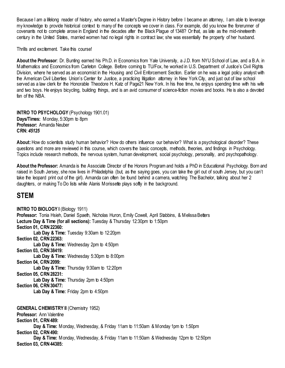Because I am a lifelong reader of history, who earned a Master's Degree in History before I became an attorney, I am able to leverage my knowledge to provide historical context to many of the concepts we cover in class. For example, did you know the forerunner of covenants not to complete arose in England in the decades after the Black Plague of 1348? Or that, as late as the mid-nineteenth century in the United States, married women had no legal rights in contract law; she was essentially the property of her husband.

Thrills and excitement. Take this course!

**About the Professor**: Dr. Bunting earned his Ph.D. in Economics from Yale University, a J.D. from NYU School of Law, and a B.A. in Mathematics and Economics from Carleton College. Before coming to TU/Fox, he worked in U.S. Department of Justice's Civil Rights Division, where he served as an economist in the Housing and Civil Enforcement Section. Earlier on he was a legal policy analyst with the American Civil Liberties Union's Center for Justice, a practicing litigation attorney in New York City, and just out of law school served as a law clerk for the Honorable Theodore H. Katz of Page21 New York. In his free time, he enjoys spending time with his wife and two boys. He enjoys bicycling, building things, and is an avid consumer of science-fiction movies and books. He is also a devoted fan of the NBA.

<span id="page-18-0"></span>**INTRO TO PSYCHOLOGY** (Psychology 1901.01) **Days/Times:** Monday, 5:30pm to 8pm **Professor:** Amanda Neuber **CRN:** *45125*

**About:** How do scientists study human behavior? How do others influence our behavior? What is a psychological disorder? These questions and more are reviewed in this course, which covers the basic concepts, methods, theories, and findings in Psychology. Topics include research methods, the nervous system, human development, social psychology, personality, and psychopathology.

**About the Professor:** Amanda is the Associate Director of the Honors Program and holds a PhD in Educational Psychology. Born and raised in South Jersey, she now lives in Philadelphia (but, as the saying goes, you can take the girl out of south Jersey, but you can't take the leopard print out of the girl). Amanda can often be found behind a camera, watching The Bachelor, talking about her 2 daughters, or making To Do lists while Alanis Morissette plays softly in the background.

#### <span id="page-18-1"></span>**STEM**

<span id="page-18-3"></span><span id="page-18-2"></span>**INTRO TO BIOLOGY I** (Biology 1911) Professor: Tonia Hsieh, Daniel Spaeth, Nicholas Huron, Emily Cowell, April Stabbins, & Melissa Betters **Lecture Day & Time (for all sections):** Tuesday & Thursday 12:30pm to 1:50pm **Section 01, CRN 22360:** Lab Day & Time: Tuesday 9:30am to 12:20pm **Section 02, CRN 22363: Lab Day & Time:** Wednesday 2pm to 4:50pm **Section 03, CRN 38419: Lab Day & Time:** Wednesday 5:30pm to 8:00pm **Section 04, CRN 2099: Lab Day & Time:** Thursday 9:30am to 12:20pm **Section 05, CRN 28231:** Lab Day & Time: Thursday 2pm to 4:50pm **Section 06, CRN 30477: Lab Day & Time:** Friday 2pm to 4:50pm **GENERAL CHEMISTRY II** (Chemistry 1952) **Professor: Ann Valentine Section 01, CRN 489: Day & Time:** Monday, Wednesday, & Friday 11am to 11:50am & Monday 1pm to 1:50pm **Section 02, CRN 490: Day & Time:** Monday, Wednesday, & Friday 11am to 11:50am & Wednesday 12pm to 12:50pm **Section 03, CRN 44385:**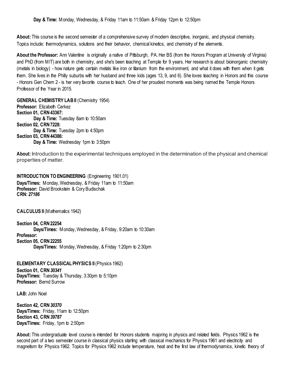**About:** This course is the second semester of a comprehensive survey of modern descriptive, inorganic, and physical chemistry. Topics include: thermodynamics, solutions and their behavior, chemical kinetics, and chemistry of the elements.

**About the Professor:** Ann Valentine is originally a native of Pittsburgh, PA. Her BS (from the Honors Program at University of Virginia) and PhD (from MIT) are both in chemistry, and she's been teaching at Temple for 9 years. Her research is about bioinorganic chemistry (metals in biology) - how nature gets certain metals like iron or titanium from the environment, and what it does with them when it gets them. She lives in the Philly suburbs with her husband and three kids (ages 13, 9, and 6). She loves teaching in Honors and this course - Honors Gen Chem 2 - is her very favorite course to teach. One of her proudest moments was being named the Temple Honors Professor of the Year in 2015.

<span id="page-19-0"></span>**GENERAL CHEMISTRY LAB II** (Chemistry 1954) **Professor:** Elizabeth Cerkez **Section 01, CRN 43367: Day & Time:** Tuesday 8am to 10:50am **Section 02, CRN 7228: Day & Time:** Tuesday 2pm to 4:50pm **Section 03, CRN 44386: Day & Time:** Wednesday 1pm to 3:50pm

**About:** Introduction to the experimental techniques employed in the determination of the physical and chemical properties of matter.

<span id="page-19-1"></span>**INTRODUCTION TO ENGINEERING** (Engineering 1901.01) **Days/Times:** Monday, Wednesday, & Friday 11am to 11:50am **Professor:** David Brookstein & Cory Budischak **CRN:** *27186*

<span id="page-19-2"></span>**CALCULUS II** (Mathematics 1942)

**Section 04, CRN 22254 Days/Times:** Monday, Wednesday, & Friday, 9:20am to 10:30am **Professor: Section 05, CRN 22255 Days/Times:** Monday, Wednesday, & Friday 1:20pm to 2:30pm

<span id="page-19-3"></span>**ELEMENTARY CLASSICAL PHYSICS II**(Physics 1962)

**Section 01, CRN** *30341*  **Days/Times:** Tuesday & Thursday, 3:30pm to 5:10pm **Professor:** Bernd Surrow

**LAB:** John Noel

**Section 42, CRN** *30370* **Days/Times:** Friday, 11am to 12:50pm **Section 43, CRN** *39787* **Days/Times:** Friday, 1pm to 2:50pm

**About:** This undergraduate level course is intended for Honors students majoring in physics and related fields. Physics 1962 is the second part of a two semester course in classical physics starting with classical mechanics for Physics 1961 and electricity and magnetism for Physics 1962. Topics for Physics 1962 include temperature, heat and the first law of thermodynamics, kinetic theory of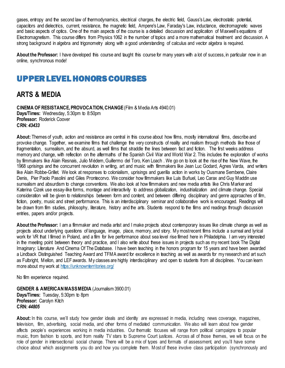gases, entropy and the second law of thermodynamics, electrical charges, the electric field, Gauss's Law, electrostatic potential, capacitors and dielectrics, current, resistance, the magnetic field, Ampere's Law, Faraday's Law, inductance, electromagnetic waves and basic aspects of optics. One of the main aspects of the course is a detailed discussion and application of Maxwell's equations of Electromagnetism. This course differs from Physics 1062 in the number of topics and a more mathematical treatment and discussion. A strong background in algebra and trigonometry along with a good understanding of calculus and vector algebra is required.

**About the Professor:** I have developed this course and taught this course for many years with a lot of success, in particular now in an online, synchronous mode!

## <span id="page-20-0"></span>UPPER LEVEL HONORS COURSES

## <span id="page-20-1"></span>**ARTS & MEDIA**

<span id="page-20-2"></span>**CINEMA OF RESISTANCE, PROVOCATION, CHANGE**(Film & Media Arts 4940.01) **Days/Times:** Wednesday, 5:30pm to 8:50pm **Professor:** Roderick Coover **CRN:** *43433*

About: Themes of youth, action and resistance are central in this course about how films, mostly international films, describe and provoke change. Together, we examine films that challenge the very constructs of reality and realism through methods like those of fragmentation, surrealism, and the absurd, as well films that straddle the lines between fact and fiction. The first weeks address memory and change, with reflection on the aftermaths of the Spanish Civil War and World War 2. This includes the exploration of works by filmmakers like Alain Resnais, Julio Médem, Guillermo del Toro, Ken Loach . We go on to look at the rise of the New Wave, the 1968 uprisings and the concurrent revolution in writing, art and music with filmmakers like Jean Luc Godard, Agnes Varda, and writers like Alain Robbe-Grillet. We look at responses to colonialism, uprisings and guerilla action in works by Ousmane Sembene, Claire Denis, Pier Paolo Pasolini and Giles Prontecorvo. We consider how filmmakers like Luis Buñuel, Leo Carax and Guy Maddin use surrealism and absurdism to change conventions. We also look at how filmmakers and new media artists like Chris Marker and Katerina Cizek use essay-like forms, montage and interactivity to address globalization, industrialization and climate change. Special consideration will be given to relationships between form and content, and between differing disciplinary and genre approaches of film, fiction, poetry, music and street performance. This is an interdisciplinary seminar and collaborative work is encouraged. Readings will be drawn from film studies, philosophy, literature, history and the arts. Students respond to the films and readings through discussion entries, papers and/or projects.

About the Professor: I am a filmmaker and media artist and I make projects about contemporary issues like climate change as well as projects about underlying questions of language, image, place, memory, and story. My most recent films include a surreal and lyrical work for VR that I filmed in Poland, and a film for live performance about sea level rise filmed here in Philadelphia. I am very interested in the meeting point between theory and practice, and I also write about these issues in projects such as my recent book The Digital Imaginary: Literature And Cinema Of The Database. I have been teaching in the honors program for 15 years and have been awarded a Lindback Distinguished Teaching Award and TFMA award for excellence in teaching as well as awards for my research and art such as Fulbright, Mellon, and LEF awards. My classes are highly interdisciplinary and open to students from all disciplines. You can learn more about my work at<https://unknownterritories.org/>

No film experience required.

<span id="page-20-3"></span>**GENDER & AMERICAN MASS MEDIA** (Journalism 3900.01) **Days/Times:** Tuesday, 5:30pm to 8pm **Professor:** Carolyn Kitch **CRN:** *44805*

About: In this course, we'll study how gender ideals and identity are expressed in media, including news coverage, magazines, television, film, advertising, social media, and other forms of mediated communication. We also will learn about how gender affects people's experiences working in media industries. Our thematic focuses will range from political campaigns to popular music, from fashion to sports, and from reality TV stars to Supreme Court justices. Across all of those themes, we will focus on the role of gender in intersectional social change. There will be a mix of types and formats of assessment, and you'll have some choice about which assignments you do and how you complete them. Most of these involve class participation (synchronously and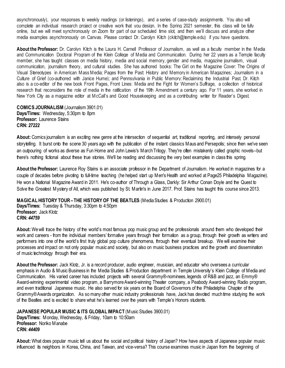asynchronously), your responses to weekly readings (or listenings), and a series of case-study assignments. You also will complete an individual research project or creative work that you design. In the Spring 2021 semester, this class will be fully online, but we will meet synchronously on Zoom for part of our scheduled time slot, and then we'll discuss and analyze other media examples asynchronously on Canvas. Please contact Dr. Carolyn Kitch (ckitch@temple.edu) if you have questions.

**About the Professor:** Dr. Carolyn Kitch is the Laura H. Carnell Professor of Journalism, as well as a faculty member in the Media and Communication Doctoral Program of the Klein College of Media and Communication. During her 22 years as a Temple faculty member, she has taught classes on media history, media and social memory, gender and media, magazine journalism, visual communication, journalism theory, and cultural studies. She has authored books: The Girl on the Magazine Cover: The Origins of Visual Stereotypes in American Mass Media; Pages from the Past: History and Memory in American Magazines; Journalism in a Culture of Grief (co-authored with Janice Hume); and Pennsylvania in Public Memory: Reclaiming the Industrial Past. Dr. Kitch also is a co-editor of the new book Front Pages, Front Lines: Media and the Fight for Women's Suffrage, a collection of historical research that reconsiders the role of media in the ratification of the 19th Amendment a century ago. For 11 years, she worked in New York City as a magazine editor at McCall's and Good Housekeeping and as a contributing writer for Reader's Digest.

<span id="page-21-0"></span>**COMICS JOURNALISM** (Journalism 3901.01) **Days/Times:** Wednesday, 5:30pm to 8pm **Professor:** Laurence Stains **CRN:** *27222*

**About:** Comics journalism is an exciting new genre at the intersection of sequential art, traditional reporting, and intensely personal storytelling. It burst onto the scene 30 years ago with the publication of the instant classics Maus and Persepolis; since then we've seen an outpouring of works as diverse as Fun Home and John Lewis's March Trilogy. They're often mistakenly called graphic novels--but there's nothing fictional about these true stories. We'll be reading and discussing the very best examples in class this spring.

**About the Professor:** Laurence Roy Stains is an associate professor in the Department of Journalism. He worked in magazines for a couple of decades before pivoting to full-time teaching (he helped start up Men's Health and worked at Page25 Philadelphia Magazine). He won a National Magazine Award in 2011. He's co-author of Through a Glass, Darkly: Sir Arthur Conan Doyle and the Quest to Solve the Greatest Mystery of All, which was published by St. Martin's in June 2017. Prof. Stains has taught this course since 2013.

<span id="page-21-1"></span>**MAGICAL HISTORY TOUR –THE HISTORY OF THE BEATLES** (Media Studies & Production 2900.01)

**Days/Times:** Tuesday & Thursday, 3:30pm to 4:50pm **Professor: Jack Klotz CRN:** *44759*

**About:** We will trace the history of the world's most famous pop music group and the professionals around them who developed their work and careers - from the individual members' formative years through their formation as a group, through their growth as writers and performers into one of the world's first truly global pop culture phenomena, through their eventual breakup. We will examine their processes and impact on not only popular music and society, but also on music business practices and the growth and dissemination of music technology through their era.

About the Professor: Jack Klotz, Jr. is a record producer, audio engineer, musician, and educator who oversees a curricular emphasis in Audio & Music Business in the Media Studies & Production department in Temple University's Klein College of Media and Communication. His varied career has included projects with several Grammy®-nominees, legends of R&B and jazz, an Emmy® Award-winning experimental video program, a Barrymore Award-winning Theater company, a Peabody Award-winning Radio program, and even traditional Japanese music. He also served for six years on the Board of Governors of the Philadelphia Chapter of the Grammy® Awards organization. As so many other music industry professionals have, Jack has devoted much time studying the work of the Beatles and is excited to share what he's learned over the years with Temple's Honors students.

<span id="page-21-2"></span>**JAPANESE POPULAR MUSIC & ITS GLOBAL IMPACT** (Music Studies 3900.01)

**Days/Times:** Monday,Wednesday, & Friday, 10am to 10:50am **Professor:** Noriko Manabe **CRN:** *44409*

**About:** What does popular music tell us about the social and political history of Japan? How have aspects of Japanese popular music influenced its neighbors in Korea, China, and Taiwan, and vice-versa? This course examines music in Japan from the beginning of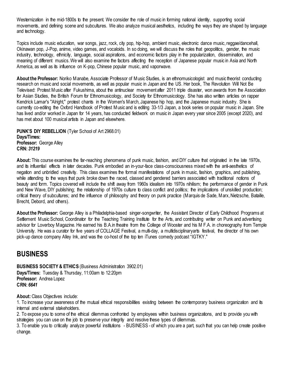Westernization in the mid-1800s to the present. We consider the role of music in forming national identity, supporting social movements, and defining scene and subcultures. We also analyze musical aesthetics, including the ways they are shaped by language and technology.

Topics include music education, war songs, jazz, rock, city pop, hip-hop, ambient music, electronic dance music, reggae/dancehall, Okinawan pop, J-Pop, anime, video games, and vocaloids. In so doing, we will discuss the roles that geopolitics, gender, the music industry, technology, ethnicity, language, social aspirations, and economic factors play in the popularization, dissemination, and meaning of different musics. We will also examine the factors affecting the reception of Japanese popular music in Asia and North America, as well as its influence on K-pop, Chinese popular music, and vaporwave.

**About the Professor:** Noriko Manabe, Associate Professor of Music Studies, is an ethnomusicologist and music theorist conducting research on music and social movements, as well as popular music in Japan and the US. Her book, The Revolution Will Not Be Televised: Protest Music after Fukushima, about the antinuclear movement after 2011 triple disaster, won awards from the Association for Asian Studies, the British Forum for Ethnomusicology, and Society for Ethnomusicology. She has also written articles on rapper Kendrick Lamar's "Alright," protest chants in the Women's March, Japanese hip hop, and the Japanese music industry. She is currently co-editing the Oxford Handbook of Protest Music and is editing 33-1/3 Japan, a book series on popular music in Japan. She has lived and/or worked in Japan for 14 years, has conducted fieldwork on music in Japan every year since 2005 (except 2020), and has met about 100 musical artists in Japan and elsewhere.

<span id="page-22-0"></span>**PUNK'S DIY REBELLION** (Tyler School of Art 2968.01) **Days/Times: Professor:** George Alley **CRN:** *31219*

**About:** This course examines the far-reaching phenomena of punk music, fashion, and DIY culture that originated in the late 1970s, and its influential effects in later decades. Punk embodied an in-your-face class-consciousness mixed with the anti-aesthetics of negation and unbridled creativity. This class examines the formal manifestations of punk in music, fashion, graphics, and publishing, while attending to the ways that punk broke down the raced, classed and gendered barriers associated with traditional notions of beauty and form. Topics covered will include the shift away from 1960s idealism into 1970s nihilism; the performance of gender in Punk and New Wave, DIY publishing; the relationship of 1970s culture to class conflict and politics; the implications of unskilled production; critical theory of subcultures; and the influence of philosophy and theory on punk practice (Marquis de Sade, Marx, Nietzsche, Bataille, Brecht, Debord, and others).

**About the Professor:** George Alley is a Philadelphia-based singer-songwriter, the Assistant Director of Early Childhood Programs at Settlement Music School, Coordinator for the Teaching Training Institute for the Arts, and contributing writer on Punk and advertising advisor for Loverboy Magazine. He earned his B.A.in theatre from the College of Wooster and his M F.A. in choreography from Temple University. He was a curator for five years of COLLAGE Festival, a multi-day, a multidisciplinaryarts festival, the director of his own pick-up dance company Alley Ink, and was the co-host of the top ten iTunes comedy podcast "IGTKY."

## <span id="page-22-1"></span>**BUSINESS**

<span id="page-22-2"></span>**BUSINESS SOCIETY & ETHICS (Business Administration 3902.01) Days/Times:** Tuesday & Thursday, 11:00am to 12:20pm **Professor:** Andrea Lopez **CRN:** *6641*

About: Class Objectives include:

1. To increase your awareness of the mutual ethical responsibilities existing between the contemporary business organization and its internal and external stakeholders.

2. To expose you to some of the ethical dilemmas confronted by employees within business organizations, and to provide you with strategies you can use on the job to preserve your integrity and resolve these types of dilemmas.

3. To enable you to critically analyze powerful institutions - BUSINESS - of which you are a part, such that you can help create positive change.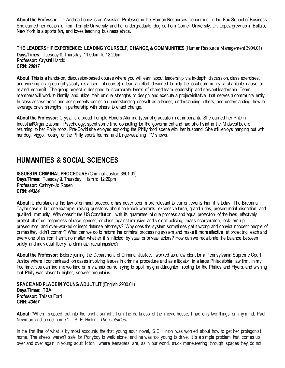**About the Professor:** Dr. Andrea Lopez is an Assistant Professor in the Human Resources Department in the Fox School of Business. She earned her doctorate from Temple University and her undergraduate degree from Cornell University. Dr. Lopez grew up in Buffalo, New York, is a sports fan, and loves teaching business ethics.

<span id="page-23-0"></span>**THE LEADERSHIP EXPERIENCE: LEADING YOURSELF, CHANGE, & COMMUNITIES** (Human Resource Management 3904.01) **Days/Times:** Tuesday & Thursday, 11:00am to 12:20pm **Professor:** Crystal Harold **CRN:** *20017*

**About**: This is a hands-on, discussion-based course where you will learn about leadership via in-depth discussion, class exercises, and working in a group (physically distanced, of course) to lead an effort designed to help the local community, a charitable cause, or related nonprofit. The group project is designed to incorporate tenets of shared team leadership and servant leadership. Team members will work to identify and utilize their unique strengths to design and execute a project/initiative that serves a community entity. In class assessments and assignments center on understanding oneself as a leader, understanding others, and understanding how to leverage one's strengths in partnership with others to enact change.

**About the Professor:** Crystal is a proud Temple Honors Alumna (year of graduation not important). She earned her PhD in Industrial/Organizational Psychology, spent some time consulting for the government and had short stint in the Midwest before returning to her Philly roots. Pre-Covid she enjoyed exploring the Philly food scene with her husband. She still enjoys hanging out with her dog, Viggo, rooting for the Philly sports teams, and binge-watching TV shows.

## <span id="page-23-1"></span>**HUMANITIES & SOCIAL SCIENCES**

<span id="page-23-2"></span>**ISSUES IN CRIMINAL PROCEDURE** (Criminal Justice 3901.01) **Days/Times:** Tuesday & Thursday, 11am to 12:20pm **Professor:** Cathryn-Jo Rosen **CRN:** *44384*

**About:** Understanding the law of criminal procedure has never been more relevant to current events than it is today. The Breonna Taylor case is but one example; raising questions about no-knock warrants, excessive force, grand juries, prosecutorial discretion, and qualified immunity. Why doesn't the US Constitution, with its quarantee of due process and equal protection of the laws, effectively protect all of us, regardless of race, gender, or class, against intrusive and violent policing, mass incarceration, lock-'em-up prosecutors, and over-worked or inept defense attorneys? Why does the system sometimes get it wrong and convict innocent people of crimes they didn't commit? What can we do to reform the criminal processing system and make it more effective at protecting each and every one of us from harm, no matter whether it is inflicted by state or private actors? How can we recalibrate the balance between safety and individual liberty to eliminate racial injustice?

**About the Professor:** Before joining the Department of Criminal Justice, I worked as a law clerk for a Pennsylvania Supreme Court Justice where I concentrated on cases involving issues in criminal procedure and as a litigator in a large Philadelphia law firm. In my free time, you can find me working on my tennis game, trying to spoil my granddaughter, rooting for the Phillies and Flyers, and wishing that Philly was closer to higher, snowier mountains.

<span id="page-23-3"></span>**SPACE AND PLACE IN YOUNG ADULT LIT** (English 2900.01) **Days/Times: TBA Professor:** Talissa Ford **CRN:** *43457*

**About:** "When I stepped out into the bright sunlight from the darkness of the movie house, I had only two things on my mind: Paul Newman and a ride home." -- S. E. Hinton, *The Outsiders*

In the first line of what is by most accounts the first young adult novel, S.E. Hinton was worried about how to get her protagonist home. The streets weren't safe for Ponyboy to walk alone, and he was too young to drive. It is a simple problem that comes up over and over again in young adult fiction, where teenagers are, as in our world, stuck maneuvering through spaces they do not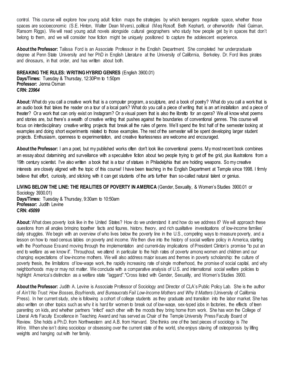control. This course will explore how young adult fiction maps the strategies by which teenagers negotiate space, whether those spaces are socioeconomic (S.E. Hinton, Walter Dean Myers), political (Meg Rosoff, Beth Kephart), or otherworldly (Neil Gaiman, Ransom Riggs). We will read young adult novels alongside cultural geographers who study how people get by in spaces that don't belong to them, and we will consider how fiction might be uniquely positioned to capture the adolescent experience.

**About the Professor:** Talissa Ford is an Associate Professor in the English Department. She completed her undergraduate degree at Penn State University and her PhD in English Literature at the University of California, Berkeley. Dr. Ford likes pirates and dinosaurs, in that order, and has written about both.

#### <span id="page-24-0"></span>**BREAKING THE RULES: WRITING HYBRID GENRES** (English 3900.01)

**Days/Times:** Tuesday & Thursday, 12:30Pm to 1:50pm **Professor:** Jenna Osman **CRN:** *23964*

**About:** What do you call a creative work that is a computer program, a sculpture, and a book of poetry? What do you call a work that is an audio book that takes the reader on a tour of a local park? What do you call a piece of writing that is an art installation and a piece of theater? Or a work that can only exist on Instagram? Or a visual poem that is also the libretto for an opera? We all know what poems and stories are, but there's a wealth of creative writing that pushes against the boundaries of conventional genres. This course will focus on interdisciplinary creative writing projects that break all the rules of genre. We'll spend the first half of the semester looking at examples and doing short experiments related to those examples. The rest of the semester will be spent developing larger student projects. Enthusiasm, openness to experimentation, and creative fearlessness are welcome and encouraged.

**About the Professor:** I am a poet, but my published works often don't look like conventional poems. My most recent book combines an essay about datamining and surveillance with a speculative fiction about two people trying to get off the grid, plus illustrations from a 19th century scientist. I've also written a book that is a tour of statues in Philadelphia that are holding weapons. So my creative interests are closely aligned with the topic of this course! I have been teaching in the English Department at Temple since 1998. I firmly believe that effort, curiosity, and sticking with it can get students of the arts further than so-called natural talent or genius.

<span id="page-24-1"></span>**LIVING BELOW THE LINE: THE REALITIES OF POVERTY IN AMERICA** (Gender, Sexuality, & Women's Studies 3900.01 or Sociology 3930.01)

**Days/Times:** Tuesday & Thursday, 9:30am to 10:50am **Professor:** Judith Levine **CRN:** *45099*

**About:** What does poverty look like in the United States? How do we understand it and how do we address it? We will approach these questions from all angles bringing together facts and figures, history, theory, and rich qualitative investigations of low-income families' daily struggles. We begin with an overview of who lives below the poverty line in the U.S., competing ways to measure poverty, and a lesson on how to read census tables on poverty and income. We then dive into the history of social welfare policy in America, starting with the Poorhouse Era and moving through the implementation and current-day implications of President Clinton's promise "to put an end to welfare as we know it". Throughout, we attend in particular to the high rates of poverty among women and children and our changing expectations of low-income mothers. We will also address major issues and themes in poverty scholarship: the culture of poverty thesis, the limitations of low-wage work, the rapidly increasing rate of single motherhood, the promise of social capital, and why neighborhoods may or may not matter. We conclude with a comparative analysis of U.S. and international social welfare policies to highlight America's distinction as a welfare state "laggard".\*Cross listed with Gender, Sexuality, and Women's Studies 3900.

About the Professor: Judith A. Levine is Associate Professor of Sociology and Director of CLA's Public Policy Lab. She is the author of *Ain't No Trust: How Bosses, Boyfriends, and Bureaucrats Fail Low-Income Mothers and Why It Matters* (University of California Press). In her current study, she is following a cohort of college students as they graduate and transition into the labor market. She has also written on other topics such as why it is hard for women to break out of low-wage, sex-typed jobs in factories, the effects of teen parenting on kids, and whether partners "infect" each other with the moods they bring home from work. She has won the College of Liberal Arts Faculty Excellence in Teaching Award and has served as Chair of the Temple University Press Faculty Board of Review. She holds a Ph.D. from Northwestern and A.B. from Harvard. She thinks one of the best pieces of sociology is *The Wire*. When she isn't doing sociology or obsessing over the current state of the world, she enjoys staving off osteoporosis by lifting weights and hanging out with her family.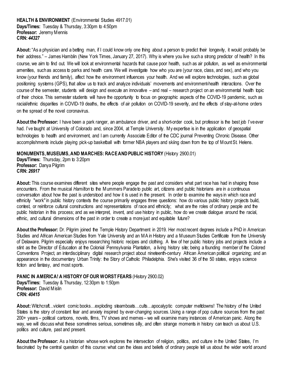#### <span id="page-25-0"></span>**HEALTH & ENVIRONMENT** (Environmental Studies 4917.01) **Days/Times:** Tuesday & Thursday, 3:30pm to 4:50pm **Professor:** Jeremy Mennis **CRN:** *44327*

**About:** "As a physician and a betting man, if I could know only one thing about a person to predict their longevity, it would probably be their address." – James Hamblin (New York Times, January 27, 2017). Why is where you live such a strong predictor of health? In this course, we aim to find out. We will look at environmental hazards that cause poor health, such as air pollution, as well as environmental amenities, such as access to parks and health care. We will investigate how who you are (your race, class, and sex), and who you know (your friends and family), affect how the environment influences your health. And we will explore technologies, such as global positioning systems (GPS), that allow us to track and analyze individuals' movements and environment-health interactions. Over the course of the semester, students will design and execute an innovative – and real – research project on an environmental health topic of their choice. This semester students will have the opportunity to focus on geographic aspects of the COVID-19 pandemic, such as racial/ethnic disparities in COVID-19 deaths, the effects of air pollution on COVID-19 severity, and the effects of stay-at-home orders on the spread of the novel coronavirus.

**About the Professor:** I have been a park ranger, an ambulance driver, and a short-order cook, but professor is the best job I've ever had. I've taught at University of Colorado and, since 2004, at Temple University. My expertise is in the application of geospatial technologies to health and environment, and I am currently Associate Editor of the CDC journal Preventing Chronic Disease. Other accomplishments include playing pick-up basketball with former NBA players and skiing down from the top of Mount St. Helens.

#### <span id="page-25-1"></span>**MONUMENTS, MUSEUMS, AND MARCHES: RACE AND PUBLIC HISTORY** (History 2900.01)

**Days/Times:** Thursday, 2pm to 3:20pm **Professor:** Danya Pilgrim **CRN:** *26917*

**About:** This course examines different sites where people engage the past and considers what part race has had in shaping those encounters. From the musical *Hamilton* to the Mummers Parade to public art, citizens and public historians are in a continuous conversation about how the past is understood and how it is used in the present. In order to examine the ways in which race and ethnicity "work" in public history contexts the course primarily engages three questions: how do various public history projects build, contest, or reinforce cultural constructions and representations of race and ethnicity; what are the roles of ordinary people and the public historian in this process; and as we interpret, invent, and use history in public, how do we create dialogue around the racial, ethnic, and cultural dimensions of the past in order to create a more just and equitable future?

**About the Professor:** Dr. Pilgrim joined the Temple History Department in 2019. Her most recent degrees include a PhD in American Studies and African American Studies from Yale University and an MA in History and a Museum Studies Certificate from the University of Delaware. Pilgrim especially enjoys researching historic recipes and clothing. A few of her public history jobs and projects include a stint as the Director of Education at the Colonial Pennsylvania Plantation, a living history site; being a founding member of the Colored Conventions Project, an interdisciplinary digital research project about nineteenth-century African American political organizing; and an appearance in the documentary Urban Trinity: the Story of Catholic Philadelphia. She's visited 36 of the 50 states, enjoys science fiction and fantasy, and most sports.

<span id="page-25-2"></span>**PANIC IN AMERICA! A HISTORY OF OUR WORST FEARS (History 2900.02) Days/Times:** Tuesday & Thursday, 12:30pm to 1:50pm **Professor:** David Mislin **CRN:** *40415*

**About:** Witchcraft…violent comic books…exploding steamboats…cults…apocalyptic computer meltdowns! The history of the United States is the story of constant fear and anxiety inspired by ever-changing sources. Using a range of pop culture sources from the past 200+ years – political cartoons, novels, films, TV shows and memes – we will examine many instances of American panic. Along the way, we will discuss what these sometimes serious, sometimes silly, and often strange moments in history can teach us about U.S. politics and culture, past and present.

**About the Professor:** As a historian whose work explores the intersection of religion, politics, and culture in the United States, I'm fascinated by the central question of this course: what can the ideas and beliefs of ordinary people tell us about the wider world around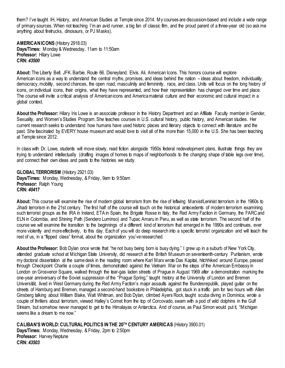them? I've taught IH, History, and American Studies at Temple since 2014. My courses are discussion-based and include a wide range of primary sources. When not teaching I'm an avid runner, a big fan of classic film, and the proud parent of a three-year old (so ask me anything about firetrucks, dinosaurs, or PJ Masks).

<span id="page-26-0"></span>**AMERICAN ICONS** (History 2918.03) **Days/Times:** Monday & Wednesday, 11am to 11:50am **Professor:** Hilary Lowe **CRN:** *43500*

**About:** The Liberty Bell. JFK. Barbie. Route 66. Disneyland. Elvis. Ali. American Icons. This honors course will explore American icons as a way to understand the central myths, promises, and ideas behind the nation – ideas about freedom, individuality, democracy, mobility, second chances, the open road, masculinity and femininity, race, and class. Units will focus on the long history of icons, on individual icons, their origins, what they have represented, and how their representation has changed over time and place. The course will invite a critical analysis of Americanicons and America material culture and their economic and cultural impact in a global context.

**About the Professor:** Hilary Iris Lowe is an associate professor in the History Department and an Affiliate Faculty member in Gender, Sexuality, and Women's Studies Program. She teaches courses in U.S. cultural history, public history, and American studies. Her current research seeks to understand how humans have used historic places and literary objects to connect with literature and the past. She fascinated by EVERY house museum and would love to visit all of the more than 15,000 in the U.S. She has been teaching at Temple since 2012.

In class with Dr. Lowe, students will move slowly, read fiction alongside 1950s federal redevelopment plans, illustrate things they are trying to understand intellectually (drafting images of homes to maps of neighborhoods to the changing shape of table legs over time), and connect their own ideas and pasts to the histories we study.

<span id="page-26-1"></span>**GLOBAL TERRORISM** (History 2921.03) **Days/Times:** Monday, Wednesday, & Friday, 9am to 9:50am Professor: Ralph Young **CRN:** *40417*

**About:** This course will examine the rise of modern global terrorism from the rise of leftwing Marxist/Leninist terrorism in the 1960s to Jihadi terrorism in the 21st century. The first half of the course will touch on the historical antecedents of modern terrorism examining such terrorist groups as the IRA in Ireland, ETA in Spain, the Brigate Rosse in Italy, the Red Army Faction in Germany, the FARC and ELN in Colombia, and Shining Path (Sendero Luminso) and Tupac Amaru in Peru, as well as state terrorism. The second half of the course we will examine the transition to the beginnings of a different kind of terrorism that emerged in the 1990s and continues, ever more violently and more effectively, to this day. Each of you will do deep research into a specific terrorist organization and will teach the rest of us, in a "flipped class" format, about the organization you've researched.

**About the Professor:** Bob Dylan once wrote that "he not busy being born is busy dying." I grew up in a suburb of New York City, attended graduate school at Michigan State University, did research at the British Museum on seventeenth-century Puritanism, wrote my doctoral dissertation at the same desk in the reading room where Karl Marx wrote Das Kapital, hitchhiked around Europe, passed through Checkpoint Charlie a couple of times, demonstrated against the Vietnam War on the steps of the American Embassy in London on Grosvenor Square, walked through the tear-gas laden streets of Prague in August 1969 after a demonstration marking the one-year anniversary of the Soviet suppression of the "Prague Spring," taught history at the University of London and Bremen Universität, lived in West Germany during the Red Army Faction's major assaults against the Bundesrepublik, played guitar on the streets of Hamburg and Bremen, managed a second-hand bookstore in Philadelphia, got stuck in a traffic jam for two hours with Allen Ginsberg talking about William Blake, Walt Whitman, and Bob Dylan, climbed Ayers Rock, taught scuba diving in Dominica, wrote a couple of thrillers about terrorism, viewed Halley's Comet from the top of Corcovado, swam with a pod of wild dolphins in the Gulf Stream, but somehow never managed to get to the Himalayas or Antarctica. And of course, as Paul Simon would put it, "Michigan seems like a dream to me now."

<span id="page-26-2"></span>**CALIBAN'S WORLD: CULTURAL POLITICS IN THE 20TH CENTURY AMERICAS** (History 3900.01) **Days/Times:** Monday, Wednesday, & Friday, 2pm to 2:50pm **Professor:** Harvey Neptune **CRN:** *43503*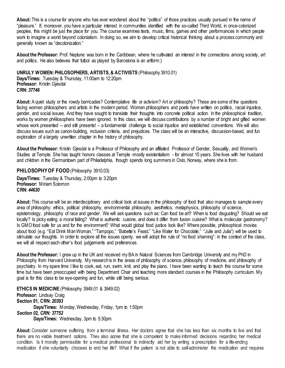**About:** This is a course for anyone who has ever wondered about the "politics" of those practices usually pursued in the name of "pleasure." If, moreover, you have a particular interest in communities identified with the so-called Third World, in once-colonized peoples, this might be just the place for you. The course examines texts, music, films, games and other performances in which people work to imagine a world beyond colonialism. In doing so, we aim to develop critical historical thinking about a process commonly and generally known as "decolonization."

**About the Professor:** Prof. Neptune was born in the Caribbean, where he cultivated an interest in the connections among society, art and politics. He also believes that futbol as played by Barcelona is an artform:)

#### <span id="page-27-0"></span>**UNRULY WOMEN: PHILOSOPHERS, ARTISTS, & ACTIVISTS** (Philosophy 3910.01)

**Days/Times:** Tuesday & Thursday, 11:00am to 12:20pm **Professor:** Kristin Gjesdal **CRN:** *37746*

**About:** A quiet study or the rowdy barricades? Contemplative life or activism? Art or philosophy? These are some of the questions facing women philosophers and artists in the modern period. Women philosophers and poets have written on politics, racial injustice, gender, and social issues. And they have sought to translate their thoughts into concrete political action. In the philosophical tradition, works by women ph4ilosophers have been ignored. In this class, we will discuss contributions by a number of bright and gifted women whose work presented -- and still presents! – a fundamental challenge to social injustice and established conventions. We will also discuss issues such as canon-building, inclusion criteria, and prejudices. The class will be an interactive, discussion-based, and fun exploration of a largely unwritten chapter in the history of philosophy.

**About the Professor:** Kristin Gjesdal is a Professor of Philosophy and an affiliated Professor of Gender, Sexuality, and Women's Studies at Temple. She has taught honors classes at Temple -mostly existentialism - for almost 15 years. She lives with her husband and children in the Germantown part of Philadelphia, though spends long summers in Oslo, Norway, where she is from.

#### <span id="page-27-1"></span>**PHILOSOPHY OF FOOD** (Philosophy 3910.03)

**Days/Times:** Tuesday & Thursday, 2:00pm to 3:20pm **Professor:** Miriam Solomon **CRN:** *44630*

About: This course will be an interdisciplinary and critical look at issues in the philosophy of food that also manages to sample every area of philosophy: ethics, political philosophy, environmental philosophy, aesthetics, metaphysics, philosophy of science, epistemology, philosophy of race and gender. We will ask questions such as: Can food be art? When is food disgusting? Should we eat locally? Is picky eating a moral failing? What is authentic cuisine, and does it differ from fusion cuisine? What is molecular gastronomy? Is GMO food safe for us and for the environment? What would global food justice look like? Where possible, philosophical movies about food (e.g. "Eat Drink Man Woman," "Tampopo," "Babette's Feast," "Like Water for Chocolate," "Julie and Julia") will be used to stimulate our thoughts. In order to explore all the issues openly, we will adopt the rule of "no food shaming": in the context of the class, we will all respect each other's food judgements and preferences.

**About the Professor:** I grew up in the UK and received my BA in Natural Sciences from Cambridge University and my PhD in Philosophy from Harvard University. My research is in the areas of philosophy of science, philosophy of medicine, and philosophy of psychiatry. In my spare time I like to cook, eat, run, swim, knit, and play the piano. I have been wanting to teach this course for some time but have been preoccupied with being Department Chair and teaching more standard courses in the Philosophy curriculum. My goal is for this class to be eye-opening and fun, while still being serious.

<span id="page-27-2"></span>**ETHICS IN MEDICINE** (Philosophy 3949.01 & 3949.02) **Professor:** Lindsay Craig **Section 01, CRN:** *20393* **Days/Times:** Monday, Wednesday, Friday, 1pm to 1:50pm *Section 02, CRN: 37752* **Days/Times:** Wednesday, 3pm to 5:30pm

**About:** Consider someone suffering from a terminal illness. Her doctors agree that she has less than six months to live and that there are no viable treatment options. They also agree that she is competent to make informed decisions regarding her medical condition. Is it morally permissible for a medical professional to indirectly aid her by writing a prescription for a life-ending medication if she voluntarily chooses to end her life? What if the patient is not able to self-administer the medication and requires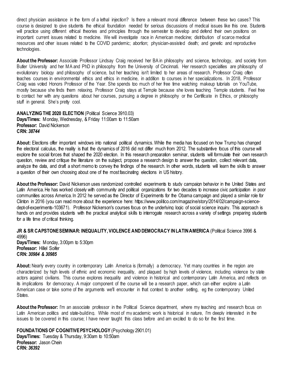direct physician assistance in the form of a lethal injection? Is there a relevant moral difference between these two cases? This course is designed to give students the ethical foundation needed for serious discussions of medical issues like this one. Students will practice using different ethical theories and principles through the semester to develop and defend their own positions on important current issues related to medicine. We will investigate race in American medicine; distribution of scarce medical resources and other issues related to the COVID pandemic; abortion; physician-assisted death; and genetic and reproductive technologies.

**About the Professor:** Associate Professor Lindsay Craig received her BA in philosophy and science, technology, and society from Butler University and her MA and PhD in philosophy from the University of Cincinnati. Her research specialties are philosophy of evolutionary biology and philosophy of science, but her teaching isn't limited to her areas of research. Professor Craig often teaches courses in environmental ethics and ethics in medicine, in addition to courses in her specializations. In 2018, Professor Craig was voted Honors Professor of the Year. She spends too much of her free time watching makeup tutorials on YouTube, mostly because she finds them relaxing. Professor Craig stays at Temple because she loves teaching Temple students. Feel free to contact her with any questions about her courses, pursuing a degree in philosophy or the Certificate in Ethics, or philosophy stuff in general. She's pretty cool.

<span id="page-28-0"></span>**ANALYZING THE 2020 ELECTION** (Political Science 3910.03) **Days/Times:** Monday, Wednesday, & Friday 11:00am to 11:50am **Professor:** David Nickerson **CRN:** *38744*

**About:** Elections offer important windows into national political dynamics. While the media has focused on how Trump has changed the electoral calculus, the reality is that the dynamics of 2016 did not differ much from 2012. The substantive focus of this course will explore the social forces that shaped the 2020 election. In this research preparation seminar, students will formulate their own research question, review and critique the literature on the subject, propose a research design to answer the question, collect relevant data, analyze the data, and draft a short memo to convey the findings of the research. In other words, students will learn the skills to answer a question of their own choosing about one of the most fascinating elections in US history.

**About the Professor:** David Nickerson uses randomized controlled experiments to study campaign behavior in the United States and Latin America. He has worked closely with community and political organizations for two decades to increase civic participation in poor communities across America. In 2012 he served as the Director of Experiments for the Obama campaign and played a similar role for Clinton in 2016 (you can read more about the experience here: https://www.politico.com/magazine/story/2014/02/campaign-sciencedept-of-experiments-103671). Professor Nickerson's courses focus on the underlying logic of social science inquiry. This approach is hands on and provides students with the practical analytical skills to interrogate research across a variety of settings preparing students for a life time of critical thinking.

<span id="page-28-1"></span>**JR & SR CAPSTONESEMINAR: INEQUALITY, VIOLENCE AND DEMOCRACY IN LATIN AMERICA** (Political Science 3996 & 4996) **Days/Times:** Monday, 3:00pm to 5:30pm **Professor:** Hillel Soifer **CRN:** *30984 & 30985*

**About:** Nearly every country in contemporary Latin America is (formally) a democracy. Yet many countries in the region are characterized by high levels of ethnic and economic inequality, and plagued by high levels of violence, including violence by state actors against civilians. This course explores inequality and violence in historical and contemporary Latin America, and reflects on its implications for democracy. A major component of the course will be a research paper, which can either explore a Latin American case or take some of the arguments we'll encounter in that context to another setting, eg the contemporary United **States** 

About the Professor: I'm an associate professor in the Political Science department, where my teaching and research focus on Latin American politics and state-building. While most of my academic work is historical in nature, I'm deeply interested in the issues to be covered in this course; I have never taught this class before and am excited to do so for the first time.

<span id="page-28-2"></span>**FOUNDATIONS OF COGNITIVE PSYCHOLOGY** (Psychology 2901.01) **Days/Times:** Tuesday & Thursday, 9:30am to 10:50am **Professor:** Jason Chein **CRN:** *36392*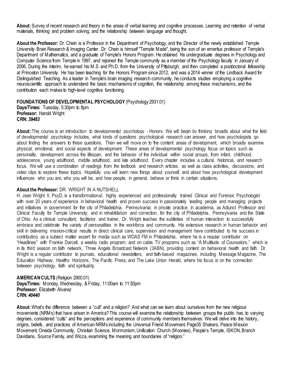**About:** Survey of recent research and theory in the areas of verbal learning and cognitive processes. Learning and retention of verbal materials, thinking and problem solving, and the relationship between language and thought.

**About the Professor:** Dr. Chein is a Professor in the Department of Psychology, and the Director of the newly established Temple University Brain Research & Imaging Center. Dr. Chein is himself "Temple Made", being the son of an emeritus professor of Temple's Department of Mathematics, and a graduate of Temple's Honors Program. He obtained his undergraduate degrees in Psychology and Computer Science from Temple in 1997, and rejoined the Temple community as a member of the Psychology faculty in January of 2006. During the interim, he earned his M.S. and Ph.D. from the University of Pittsburgh, and then completed a postdoctoral fellowship at Princeton University. He has been teaching for the Honors Program since 2012, and was a 2014 winner of the Lindback Award for Distinguished Teaching. As a leader in Temple's brain imaging research community, he conducts studies employing a cognitive neuroscientific approach to understand the basic mechanisms of cognition, the relationship among these mechanisms, and the contribution each makes to high-level cognitive functioning.

#### <span id="page-29-0"></span>**FOUNDATIONS OF DEVELOPMENTAL PSYCHOLOGY** (Psychology 2931.01)

**Days/Times:** Tuesday, 5:30pm to 8pm **Professor:** Harold Wright **CRN:** *39483*

**About:** This course is an introduction to developmental psychology - Honors. We will begin by thinking broadly about what the field of developmental psychology includes, what kinds of questions psychological research can answer, and how psychologists go about finding the answers to these questions. Then we will move on to the content areas of development, which broadly examine physical, emotional, and social aspects of development. These areas of developmental psychology focus on topics such as personality, development across the lifespan, and the behavior of the individual within social groups, from infant, childhood, adolescence, young adulthood, middle adulthood, and late adulthood. Every chapter includes a cultural, historical, and research focus. We will use a combination of readings from the textbook and research articles, as well as class activities, discussions, and video clips to explore these topics. Hopefully you will learn new things about yourself, and about how psychological development influences who you are, who you will be, and how people, in general, behave or think in certain situations.

#### **About the Professor:** DR. WRIGHT IN A NUTSHELL

H. Jean Wright II, PsyD, is a transformational, highly experienced and professionally trained Clinical and Forensic Psychologist with over 20 vears of experience in behavioral health and proven success in passionately leading people and managing projects and initiatives in government for the city of Philadelphia, Pennsylvania; in private practice; in academia, as Adjunct Professor and Clinical Faculty for Temple University; and in rehabilitation and correction, for the city of Philadelphia, Pennsylvania and the State of Ohio. As a clinical consultant, facilitator and trainer, Dr. Wright teaches the subtleties of human interaction to successfully embrace and celebrate the variety of personalities in the workforce and community. His extensive research in human behavior and skill in delivering mission-critical results in direct clinical care, supervision and management have contributed to his success in contributing as a subject matter expert for media such as WDAS FM in Philadelphia, where he is a regular contributor on "Headlines" with Frankie Darcell, a weekly radio program; and on cable TV programs such as "A Multitude of Counselors," which is in its third season on faith network, Three Angels Broadcast Network (3ABN), providing content on behavioral health and faith. Dr. Wright is a regular contributor to journals, educational newsletters, and faith-based magazines, including Message Magazine, The Education Highway, Healthy Horizons, The Pacific Press, and The Lake Union Herald, where his focus is on the connection between psychology, faith and spirituality.

#### <span id="page-29-1"></span>**AMERICAN CULTS** (Religion 2900.01) **Days/Times:** Monday, Wednesday, & Friday, 11:00am to 11:50pm **Professor:** Elizabeth Alvarez **CRN:** *40440*

**About:** What's the difference between a "cult" and a religion? And what can we learn about ourselves from the new religious movements (NRMs) that have arisen in America? This course will examine the relationship between groups the public has, to varying degrees, considered "cults" and the perceptions and experience of community members themselves. We will delve into the history, origins, beliefs, and practices of American NRMs including the Universal Friend Movement, Page35 Shakers, Peace Mission Movement, Oneida Community, Christian Science, Mormonism, Unification Church (Moonies), People's Temple, ISKON, Branch Davidians, Source Family, and Wicca, examining the meaning and boundaries of "religion."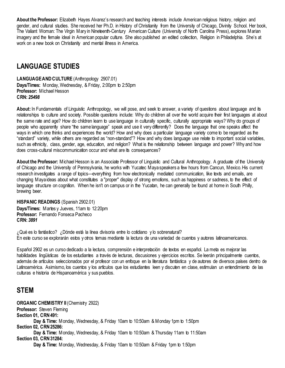**About the Professor:** Elizabeth Hayes Alvarez's research and teaching interests include American religious history, religion and gender, and cultural studies. She received her Ph.D. in History of Christianity from the University of Chicago, Divinity School. Her book, The Valiant Woman: The Virgin Mary in Nineteenth-Century American Culture (University of North Carolina Press), explores Marian imagery and the female ideal in American popular culture. She also published an edited collection, Religion in Philadelphia. She's at work on a new book on Christianity and mental illness in America.

## <span id="page-30-0"></span>**LANGUAGE STUDIES**

<span id="page-30-1"></span>**LANGUAGE AND CULTURE** (Anthropology 2907.01) **Days/Times:** Monday, Wednesday, & Friday, 2:00pm to 2:50pm **Professor:** Michael Hesson **CRN:** *25498*

**About:** In Fundamentals of Linguistic Anthropology, we will pose, and seek to answer, a variety of questions about language and its relationships to culture and society. Possible questions include: Why do children all over the world acquire their first languages at about the same rate and age? How do children learn to use language in culturally specific, culturally appropriate ways? Why do groups of people who apparently share "the same language" speak and use it very differently? Does the language that one speaks affect the ways in which one thinks and experiences the world? How and why does a particular language variety come to be regarded as the "standard" variety, while others are regarded as "non-standard"? How and why does language use relate to important social variables, such as ethnicity, class, gender, age, education, and religion? What is the relationship between language and power? Why and how does cross-cultural miscommunication occur and what are its consequences?

**About the Professor:** Michael Hesson is an Associate Professor of Linguistic and Cultural Anthropology. A graduate of the University of Chicago and the University of Pennsylvania, he works with Yucatec Maya speakers a few hours from Cancun, Mexico. His current research investigates a range of topics—everything from how electronically mediated communication, like texts and emails, are changing Maya ideas about what constitutes a "proper" display of strong emotions, such as happiness or sadness, to the effect of language structure on cognition. When he isn't on campus or in the Yucatan, he can generally be found at home in South Philly, brewing beer.

<span id="page-30-2"></span>**HISPANIC READINGS** (Spanish 2902.01) **Days/Times:** Martes y Jueves, 11am to 12:20pm **Professor:** Fernando Fonseca Pacheco **CRN:** *3891*

¿Qué es lo fantástico? ¿Dónde está la línea divisoria entre lo cotidiano y lo sobrenatural? En este curso se explorarán estos y otros temas mediante la lectura de una variedad de cuentos y autores latinoamericanos.

Español 2902 es un curso dedicado a la lectura, comprensión e interpretación de textos en español. La meta es mejorar las habilidades lingüísticas de los estudiantes a través de lecturas, discusiones y ejercicios escritos. Se leerán principalmente cuentos, además de artículos seleccionados por el profesor con un enfoque en la literatura fantástica y de autores de diversos países dentro de Latinoamérica. Asimismo, los cuentos y los artículos que los estudiantes leen y discuten en clase, estimulan un entendimiento de las culturas e historia de Hispanoamérica y sus pueblos.

## <span id="page-30-3"></span>**STEM**

<span id="page-30-4"></span>**ORGANIC CHEMISTRY II** (Chemistry 2922) **Professor:** Steven Fleming **Section 01, CRN491: Day & Time:** Monday, Wednesday, & Friday 10am to 10:50am & Monday 1pm to 1:50pm **Section 02, CRN 25286: Day & Time:** Monday, Wednesday, & Friday 10am to 10:50am & Thursday 11am to 11:50am **Section 03, CRN 31284: Day & Time:** Monday, Wednesday, & Friday 10am to 10:50am & Friday 1pm to 1:50pm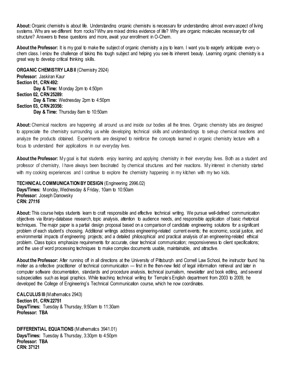**About:**Organic chemistry is about life. Understanding organic chemistry is necessary for understanding almost every aspect of living systems. Why are we different from rocks? Why are mixed drinks evidence of life? Why are organic molecules necessary for cell structure? Answers to these questions and more, await your enrollment in O-Chem.

**About the Professor:** It is my goal to make the subject of organic chemistry a joy to learn. I want you to eagerly anticipate every ochem class. I enjoy the challenge of taking this tough subject and helping you see its inherent beauty. Learning organic chemistry is a great way to develop critical thinking skills.

<span id="page-31-0"></span>**ORGANIC CHEMISTRY LAB II** (Chemistry 2924) **Professor:** Jaskiran Kaur **Section 01, CRN 492: Day & Time:** Monday 2pm to 4:50pm **Section 02, CRN 25289: Day & Time:** Wednesday 2pm to 4:50pm **Section 03, CRN 20356: Day & Time:** Thursday 8am to 10:50am

**About:** Chemical reactions are happening all around us and inside our bodies all the times. Organic chemistry labs are designed to appreciate the chemistry surrounding us while developing technical skills and understandings to set-up chemical reactions and analyze the products obtained. Experiments are designed to reinforce the concepts learned in organic chemistry lecture with a focus to understand their applications in our everyday lives.

About the Professor: My goal is that students enjoy learning and applying chemistry in their everyday lives. Both as a student and professor of chemistry, I have always been fascinated by chemical structures and their reactions. My interest in chemistry started with my cooking experiences and I continue to explore the chemistry happening in my kitchen with my two kids.

<span id="page-31-1"></span>**TECHNICAL COMMUNICATION BY DESIGN** (Engineering 2996.02) **Days/Times:** Monday, Wednesday & Friday, 10am to 10:50am **Professor:** Joseph Danowsky **CRN:** *27116*

**About:** This course helps students learn to craft responsible and effective technical writing. We pursue well-defined communication objectives via library-database research, topic analysis, attention to audience needs, and responsible application of basic rhetorical techniques. The major paper is a partial design proposal based on a comparison of candidate engineering solutions for a significant problem of each student's choosing. Additional writings address engineering-related current events; the economic, social justice, and environmental impacts of engineering projects; and a detailed philosophical and practical analysis of an engineering-related ethical problem. Class topics emphasize requirements for accurate, clear technical communication; responsiveness to client specifications; and the use of word processing techniques to make complex documents usable, maintainable, and attractive.

**About the Professor:** After running off in all directions at the University of Pittsburgh and Cornell Law School, the instructor found his métier as a reflective practitioner of technical communication — first in the then-new field of legal information retrieval and later in computer software documentation, standards and procedure analysis, technical journalism, newsletter and book editing, and several subspecialties such as legal graphics. While teaching technical writing for Temple's English department from 2003 to 2009, he developed the College of Engineering's Technical Communication course, which he now coordinates.

<span id="page-31-2"></span>**CALCULUS III**(Mathematics 2943) **Section 01, CRN 22751 Days/Times:** Tuesday & Thursday, 9:50am to 11:30am **Professor: TBA**

<span id="page-31-3"></span>**DIFFERENTIAL EQUATIONS** (Mathematics 3941.01) **Days/Times:** Tuesday & Thursday, 3:30pm to 4:50pm **Professor: TBA CRN: 37121**